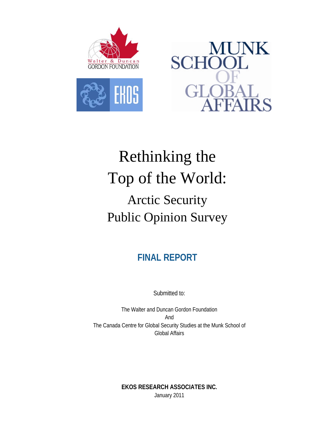

EHOS



# Rethinking the Top of the World: Arctic Security Public Opinion Survey

**FINAL REPORT** 

Submitted to:

The Walter and Duncan Gordon Foundation And The Canada Centre for Global Security Studies at the Munk School of Global Affairs

> **EKOS RESEARCH ASSOCIATES INC.**  January 2011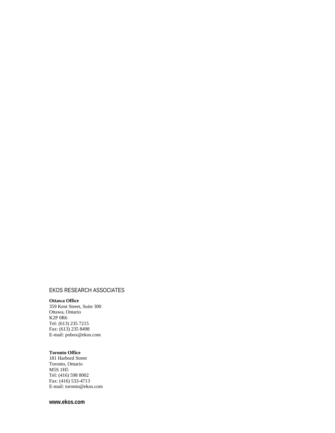#### EKOS RESEARCH ASSOCIATES

#### **Ottawa Office**

359 Kent Street, Suite 300 Ottawa, Ontario K2P 0R6 Tel: (613) 235 7215 Fax: (613) 235 8498 E-mail: pobox@ekos.com

#### **Toronto Office**

181 Harbord Street Toronto, Ontario M5S 1H5 Tel: (416) 598 8002 Fax: (416) 533-4713 E-mail: toronto@ekos.com

#### **www.ekos.com**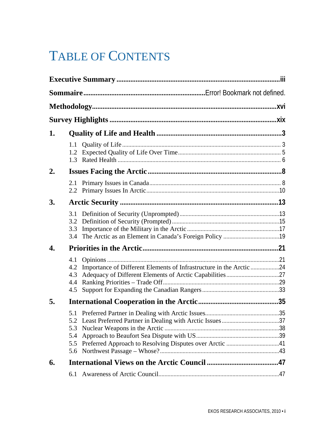# TABLE OF CONTENTS

| 1. |                                 |                                                                     |  |  |
|----|---------------------------------|---------------------------------------------------------------------|--|--|
|    |                                 |                                                                     |  |  |
| 2. |                                 |                                                                     |  |  |
|    |                                 |                                                                     |  |  |
| 3. |                                 |                                                                     |  |  |
|    | 3.3                             |                                                                     |  |  |
| 4. |                                 |                                                                     |  |  |
|    | 4.1<br>4.2<br>4.3<br>4.4<br>4.5 | Importance of Different Elements of Infrastructure in the Arctic 24 |  |  |
| 5. |                                 |                                                                     |  |  |
|    | 5.3<br>5.4<br>5.5<br>5.6        |                                                                     |  |  |
| 6. |                                 |                                                                     |  |  |
|    | 6.1                             |                                                                     |  |  |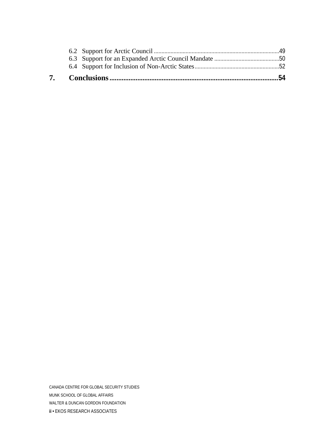CANADA CENTRE FOR GLOBAL SECURITY STUDIES MUNK SCHOOL OF GLOBAL AFFAIRS WALTER & DUNCAN GORDON FOUNDATION **ii •** EKOS RESEARCH ASSOCIATES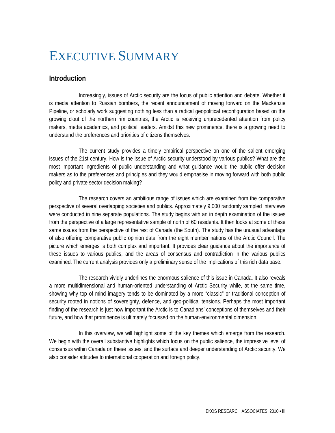## <span id="page-4-0"></span>EXECUTIVE SUMMARY

#### **Introduction**

 Increasingly, issues of Arctic security are the focus of public attention and debate. Whether it is media attention to Russian bombers, the recent announcement of moving forward on the Mackenzie Pipeline, or scholarly work suggesting nothing less than a radical geopolitical reconfiguration based on the growing clout of the northern rim countries, the Arctic is receiving unprecedented attention from policy makers, media academics, and political leaders. Amidst this new prominence, there is a growing need to understand the preferences and priorities of citizens themselves.

 The current study provides a timely empirical perspective on one of the salient emerging issues of the 21st century. How is the issue of Arctic security understood by various publics? What are the most important ingredients of public understanding and what guidance would the public offer decision makers as to the preferences and principles and they would emphasise in moving forward with both public policy and private sector decision making?

 The research covers an ambitious range of issues which are examined from the comparative perspective of several overlapping societies and publics. Approximately 9,000 randomly sampled interviews were conducted in nine separate populations. The study begins with an in depth examination of the issues from the perspective of a large representative sample of north of 60 residents. It then looks at some of these same issues from the perspective of the rest of Canada (the South). The study has the unusual advantage of also offering comparative public opinion data from the eight member nations of the Arctic Council. The picture which emerges is both complex and important. It provides clear guidance about the importance of these issues to various publics, and the areas of consensus and contradiction in the various publics examined. The current analysis provides only a preliminary sense of the implications of this rich data base.

 The research vividly underlines the enormous salience of this issue in Canada. It also reveals a more multidimensional and human-oriented understanding of Arctic Security while, at the same time, showing why top of mind imagery tends to be dominated by a more "classic" or traditional conception of security rooted in notions of sovereignty, defence, and geo-political tensions. Perhaps the most important finding of the research is just how important the Arctic is to Canadians' conceptions of themselves and their future, and how that prominence is ultimately focussed on the human-environmental dimension.

 In this overview, we will highlight some of the key themes which emerge from the research. We begin with the overall substantive highlights which focus on the public salience, the impressive level of consensus within Canada on these issues, and the surface and deeper understanding of Arctic security. We also consider attitudes to international cooperation and foreign policy.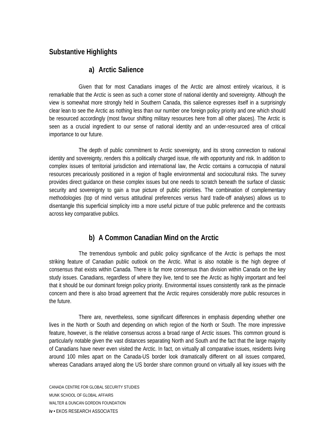#### **Substantive Highlights**

#### **a) Arctic Salience**

 Given that for most Canadians images of the Arctic are almost entirely vicarious, it is remarkable that the Arctic is seen as such a corner stone of national identity and sovereignty. Although the view is somewhat more strongly held in Southern Canada, this salience expresses itself in a surprisingly clear lean to see the Arctic as nothing less than our number one foreign policy priority and one which should be resourced accordingly (most favour shifting military resources here from all other places). The Arctic is seen as a crucial ingredient to our sense of national identity and an under-resourced area of critical importance to our future.

 The depth of public commitment to Arctic sovereignty, and its strong connection to national identity and sovereignty, renders this a politically charged issue, rife with opportunity and risk. In addition to complex issues of territorial jurisdiction and international law, the Arctic contains a cornucopia of natural resources precariously positioned in a region of fragile environmental and sociocultural risks. The survey provides direct guidance on these complex issues but one needs to scratch beneath the surface of classic security and sovereignty to gain a true picture of public priorities. The combination of complementary methodologies (top of mind versus attitudinal preferences versus hard trade-off analyses) allows us to disentangle this superficial simplicity into a more useful picture of true public preference and the contrasts across key comparative publics.

#### **b) A Common Canadian Mind on the Arctic**

 The tremendous symbolic and public policy significance of the Arctic is perhaps the most striking feature of Canadian public outlook on the Arctic. What is also notable is the high degree of consensus that exists within Canada. There is far more consensus than division within Canada on the key study issues. Canadians, regardless of where they live, tend to see the Arctic as highly important and feel that it should be our dominant foreign policy priority. Environmental issues consistently rank as the pinnacle concern and there is also broad agreement that the Arctic requires considerably more public resources in the future.

 There are, nevertheless, some significant differences in emphasis depending whether one lives in the North or South and depending on which region of the North or South. The more impressive feature, however, is the relative consensus across a broad range of Arctic issues. This common ground is particularly notable given the vast distances separating North and South and the fact that the large majority of Canadians have never even visited the Arctic. In fact, on virtually all comparative issues, residents living around 100 miles apart on the Canada-US border look dramatically different on all issues compared, whereas Canadians arrayed along the US border share common ground on virtually all key issues with the

CANADA CENTRE FOR GLOBAL SECURITY STUDIES MUNK SCHOOL OF GLOBAL AFFAIRS WALTER & DUNCAN GORDON FOUNDATION **iv •** EKOS RESEARCH ASSOCIATES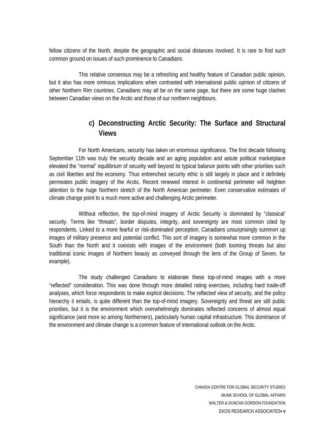fellow citizens of the North, despite the geographic and social distances involved. It is rare to find such common ground on issues of such prominence to Canadians.

 This relative consensus may be a refreshing and healthy feature of Canadian public opinion, but it also has more ominous implications when contrasted with international public opinion of citizens of other Northern Rim countries. Canadians may all be on the same page, but there are some huge clashes between Canadian views on the Arctic and those of our northern neighbours.

#### **c) Deconstructing Arctic Security: The Surface and Structural Views**

 For North Americans, security has taken on enormous significance. The first decade following September 11th was truly the security decade and an aging population and astute political marketplace elevated the "normal" equilibrium of security well beyond its typical balance points with other priorities such as civil liberties and the economy. Thus entrenched security ethic is still largely in place and it definitely permeates public imagery of the Arctic. Recent renewed interest in continental perimeter will heighten attention to the huge Northern stretch of the North American perimeter. Even conservative estimates of climate change point to a much more active and challenging Arctic perimeter.

 Without reflection, the top-of-mind imagery of Arctic Security is dominated by "classical' security. Terms like "threats", border disputes, integrity, and sovereignty are most common cited by respondents. Linked to a more fearful or risk-dominated perception, Canadians unsurprisingly summon up images of military presence and potential conflict. This sort of imagery is somewhat more common in the South than the North and it coexists with images of the environment (both looming threats but also traditional iconic images of Northern beauty as conveyed through the lens of the Group of Seven, for example).

 The study challenged Canadians to elaborate these top-of-mind images with a more "reflected" consideration. This was done through more detailed rating exercises, including hard trade-off analyses, which force respondents to make explicit decisions. The reflected view of security, and the policy hierarchy it entails, is quite different than the top-of-mind imagery. Sovereignty and threat are still public priorities, but it is the environment which overwhelmingly dominates reflected concerns of almost equal significance (and more so among Northerners), particularly human capital infrastructure. This dominance of the environment and climate change is a common feature of international outlook on the Arctic.

> CANADA CENTRE FOR GLOBAL SECURITY STUDIES MUNK SCHOOL OF GLOBAL AFFAIRS WALTER & DUNCAN GORDON FOUNDATION EKOS RESEARCH ASSOCIATES**• v**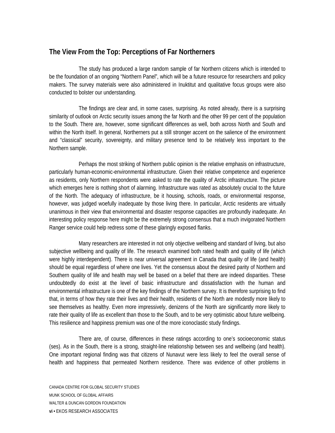#### **The View From the Top: Perceptions of Far Northerners**

 The study has produced a large random sample of far Northern citizens which is intended to be the foundation of an ongoing "Northern Panel", which will be a future resource for researchers and policy makers. The survey materials were also administered in Inuktitut and qualitative focus groups were also conducted to bolster our understanding.

 The findings are clear and, in some cases, surprising. As noted already, there is a surprising similarity of outlook on Arctic security issues among the far North and the other 99 per cent of the population to the South. There are, however, some significant differences as well, both across North and South and within the North itself. In general, Northerners put a still stronger accent on the salience of the environment and "classical" security, sovereignty, and military presence tend to be relatively less important to the Northern sample.

 Perhaps the most striking of Northern public opinion is the relative emphasis on infrastructure, particularly human-economic-environmental infrastructure. Given their relative competence and experience as residents, only Northern respondents were asked to rate the quality of Arctic infrastructure. The picture which emerges here is nothing short of alarming. Infrastructure was rated as absolutely crucial to the future of the North. The adequacy of infrastructure, be it housing, schools, roads, or environmental response, however, was judged woefully inadequate by those living there. In particular, Arctic residents are virtually unanimous in their view that environmental and disaster response capacities are profoundly inadequate. An interesting policy response here might be the extremely strong consensus that a much invigorated Northern Ranger service could help redress some of these glaringly exposed flanks.

 Many researchers are interested in not only objective wellbeing and standard of living, but also subjective wellbeing and quality of life. The research examined both rated health and quality of life (which were highly interdependent). There is near universal agreement in Canada that quality of life (and health) should be equal regardless of where one lives. Yet the consensus about the desired parity of Northern and Southern quality of life and health may well be based on a belief that there are indeed disparities. These undoubtedly do exist at the level of basic infrastructure and dissatisfaction with the human and environmental infrastructure is one of the key findings of the Northern survey. It is therefore surprising to find that, in terms of how they rate their lives and their health, residents of the North are modestly more likely to see themselves as healthy. Even more impressively, denizens of the North are significantly more likely to rate their quality of life as excellent than those to the South, and to be very optimistic about future wellbeing. This resilience and happiness premium was one of the more iconoclastic study findings.

 There are, of course, differences in these ratings according to one's socioeconomic status (ses). As in the South, there is a strong, straight-line relationship between ses and wellbeing (and health). One important regional finding was that citizens of Nunavut were less likely to feel the overall sense of health and happiness that permeated Northern residence. There was evidence of other problems in

CANADA CENTRE FOR GLOBAL SECURITY STUDIES MUNK SCHOOL OF GLOBAL AFFAIRS WALTER & DUNCAN GORDON FOUNDATION **vi •** EKOS RESEARCH ASSOCIATES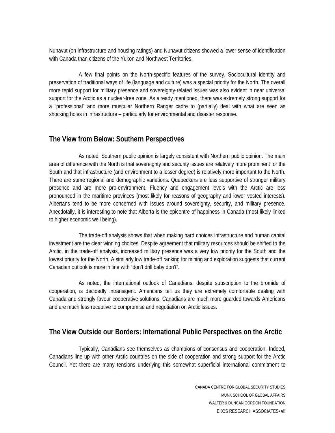Nunavut (on infrastructure and housing ratings) and Nunavut citizens showed a lower sense of identification with Canada than citizens of the Yukon and Northwest Territories.

 A few final points on the North-specific features of the survey. Sociocultural identity and preservation of traditional ways of life (language and culture) was a special priority for the North. The overall more tepid support for military presence and sovereignty-related issues was also evident in near universal support for the Arctic as a nuclear-free zone. As already mentioned, there was extremely strong support for a "professional" and more muscular Northern Ranger cadre to (partially) deal with what are seen as shocking holes in infrastructure – particularly for environmental and disaster response.

#### **The View from Below: Southern Perspectives**

 As noted, Southern public opinion is largely consistent with Northern public opinion. The main area of difference with the North is that sovereignty and security issues are relatively more prominent for the South and that infrastructure (and environment to a lesser degree) is relatively more important to the North. There are some regional and demographic variations. Quebeckers are less supportive of stronger military presence and are more pro-environment. Fluency and engagement levels with the Arctic are less pronounced in the maritime provinces (most likely for reasons of geography and lower vested interests). Albertans tend to be more concerned with issues around sovereignty, security, and military presence. Anecdotally, it is interesting to note that Alberta is the epicentre of happiness in Canada (most likely linked to higher economic well being).

 The trade-off analysis shows that when making hard choices infrastructure and human capital investment are the clear winning choices. Despite agreement that military resources should be shifted to the Arctic, in the trade-off analysis, increased military presence was a very low priority for the South and the lowest priority for the North. A similarly low trade-off ranking for mining and exploration suggests that current Canadian outlook is more in line with "don't drill baby don't".

 As noted, the international outlook of Canadians, despite subscription to the bromide of cooperation, is decidedly intransigent. Americans tell us they are extremely comfortable dealing with Canada and strongly favour cooperative solutions. Canadians are much more guarded towards Americans and are much less receptive to compromise and negotiation on Arctic issues.

#### **The View Outside our Borders: International Public Perspectives on the Arctic**

 Typically, Canadians see themselves as champions of consensus and cooperation. Indeed, Canadians line up with other Arctic countries on the side of cooperation and strong support for the Arctic Council. Yet there are many tensions underlying this somewhat superficial international commitment to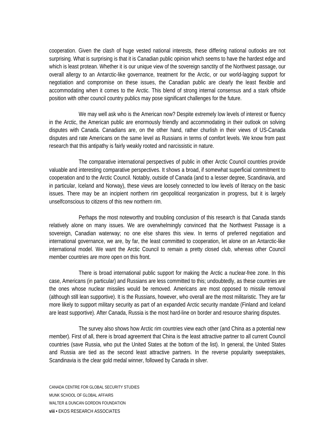cooperation. Given the clash of huge vested national interests, these differing national outlooks are not surprising. What is surprising is that it is Canadian public opinion which seems to have the hardest edge and which is least protean. Whether it is our unique view of the sovereign sanctity of the Northwest passage, our overall allergy to an Antarctic-like governance, treatment for the Arctic, or our world-lagging support for negotiation and compromise on these issues, the Canadian public are clearly the least flexible and accommodating when it comes to the Arctic. This blend of strong internal consensus and a stark offside position with other council country publics may pose significant challenges for the future.

 We may well ask who is the American now? Despite extremely low levels of interest or fluency in the Arctic, the American public are enormously friendly and accommodating in their outlook on solving disputes with Canada. Canadians are, on the other hand, rather churlish in their views of US-Canada disputes and rate Americans on the same level as Russians in terms of comfort levels. We know from past research that this antipathy is fairly weakly rooted and narcissistic in nature.

 The comparative international perspectives of public in other Arctic Council countries provide valuable and interesting comparative perspectives. It shows a broad, if somewhat superficial commitment to cooperation and to the Arctic Council. Notably, outside of Canada (and to a lesser degree, Scandinavia, and in particular, Iceland and Norway), these views are loosely connected to low levels of literacy on the basic issues. There may be an incipient northern rim geopolitical reorganization in progress, but it is largely unselfconscious to citizens of this new northern rim.

 Perhaps the most noteworthy and troubling conclusion of this research is that Canada stands relatively alone on many issues. We are overwhelmingly convinced that the Northwest Passage is a sovereign, Canadian waterway; no one else shares this view. In terms of preferred negotiation and international governance, we are, by far, the least committed to cooperation, let alone on an Antarctic-like international model. We want the Arctic Council to remain a pretty closed club, whereas other Council member countries are more open on this front.

 There is broad international public support for making the Arctic a nuclear-free zone. In this case, Americans (in particular) and Russians are less committed to this; undoubtedly, as these countries are the ones whose nuclear missiles would be removed. Americans are most opposed to missile removal (although still lean supportive). It is the Russians, however, who overall are the most militaristic. They are far more likely to support military security as part of an expanded Arctic security mandate (Finland and Iceland are least supportive). After Canada, Russia is the most hard-line on border and resource sharing disputes.

 The survey also shows how Arctic rim countries view each other (and China as a potential new member). First of all, there is broad agreement that China is the least attractive partner to all current Council countries (save Russia, who put the United States at the bottom of the list). In general, the United States and Russia are tied as the second least attractive partners. In the reverse popularity sweepstakes, Scandinavia is the clear gold medal winner, followed by Canada in silver.

CANADA CENTRE FOR GLOBAL SECURITY STUDIES MUNK SCHOOL OF GLOBAL AFFAIRS WALTER & DUNCAN GORDON FOUNDATION **viii •** EKOS RESEARCH ASSOCIATES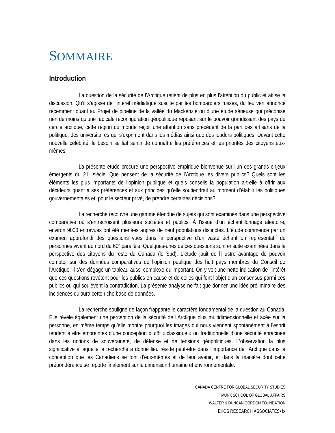### SOMMAIRE

#### **Introduction**

La question de la sécurité de l'Arctique retient de plus en plus l'attention du public et attise la discussion. Qu'il s'agisse de l'intérêt médiatique suscité par les bombardiers russes, du feu vert annoncé récemment quant au Projet de pipeline de la vallée du Mackenzie ou d'une étude sérieuse qui préconise rien de moins qu'une radicale reconfiguration géopolitique reposant sur le pouvoir grandissant des pays du cercle arctique, cette région du monde reçoit une attention sans précédent de la part des artisans de la politique, des universitaires qui s'expriment dans les médias ainsi que des leaders politiques. Devant cette nouvelle célébrité, le besoin se fait sentir de connaître les préférences et les priorités des citoyens euxmêmes.

 La présente étude procure une perspective empirique bienvenue sur l'un des grands enjeux émergents du 21e siècle. Que pensent de la sécurité de l'Arctique les divers publics? Quels sont les éléments les plus importants de l'opinion publique et quels conseils la population a-t-elle à offrir aux décideurs quant à ses préférences et aux principes qu'elle soutiendrait au moment d'établir les politiques gouvernementales et, pour le secteur privé, de prendre certaines décisions?

 La recherche recouvre une gamme étendue de sujets qui sont examinés dans une perspective comparative où s'entrecroisent plusieurs sociétés et publics. À l'issue d'un échantillonnage aléatoire, environ 9000 entrevues ont été menées auprès de neuf populations distinctes. L'étude commence par un examen approfondi des questions vues dans la perspective d'un vaste échantillon représentatif de personnes vivant au nord du 60e parallèle. Quelques-unes de ces questions sont ensuite examinées dans la perspective des citoyens du reste du Canada (le Sud). L'étude jouit de l'illustre avantage de pouvoir compter sur des données comparatives de l'opinion publique des huit pays membres du Conseil de l'Arctique. Il s'en dégage un tableau aussi complexe qu'important. On y voit une nette indication de l'intérêt que ces questions revêtent pour les publics en cause et de celles qui font l'objet d'un consensus parmi ces publics ou qui soulèvent la contradiction. La présente analyse ne fait que donner une idée préliminaire des incidences qu'aura cette riche base de données.

 La recherche souligne de façon frappante le caractère fondamental de la question au Canada. Elle révèle également une perception de la sécurité de l'Arctique plus multidimensionnelle et axée sur la personne, en même temps qu'elle montre pourquoi les images qui nous viennent spontanément à l'esprit tendent à être empreintes d'une conception plutôt « classique » ou traditionnelle d'une sécurité enracinée dans les notions de souveraineté, de défense et de tensions géopolitiques. L'observation la plus significative à laquelle la recherche a donné lieu réside peut-être dans l'importance de l'Arctique dans la conception que les Canadiens se font d'eux-mêmes et de leur avenir, et dans la manière dont cette prépondérance se reporte finalement sur la dimension humaine et environnementale.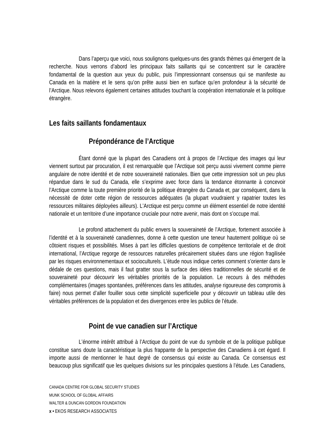Dans l'aperçu que voici, nous soulignons quelques-uns des grands thèmes qui émergent de la recherche. Nous verrons d'abord les principaux faits saillants qui se concentrent sur le caractère fondamental de la question aux yeux du public, puis l'impressionnant consensus qui se manifeste au Canada en la matière et le sens qu'on prête aussi bien en surface qu'en profondeur à la sécurité de l'Arctique. Nous relevons également certaines attitudes touchant la coopération internationale et la politique étrangère.

#### **Les faits saillants fondamentaux**

#### **Prépondérance de l'Arctique**

 Étant donné que la plupart des Canadiens ont à propos de l'Arctique des images qui leur viennent surtout par procuration, il est remarquable que l'Arctique soit perçu aussi vivement comme pierre angulaire de notre identité et de notre souveraineté nationales. Bien que cette impression soit un peu plus répandue dans le sud du Canada, elle s'exprime avec force dans la tendance étonnante à concevoir l'Arctique comme la toute première priorité de la politique étrangère du Canada et, par conséquent, dans la nécessité de doter cette région de ressources adéquates (la plupart voudraient y rapatrier toutes les ressources militaires déployées ailleurs). L'Arctique est perçu comme un élément essentiel de notre identité nationale et un territoire d'une importance cruciale pour notre avenir, mais dont on s'occupe mal.

 Le profond attachement du public envers la souveraineté de l'Arctique, fortement associée à l'identité et à la souveraineté canadiennes, donne à cette question une teneur hautement politique où se côtoient risques et possibilités. Mises à part les difficiles questions de compétence territoriale et de droit international, l'Arctique regorge de ressources naturelles précairement situées dans une région fragilisée par les risques environnementaux et socioculturels. L'étude nous indique certes comment s'orienter dans le dédale de ces questions, mais il faut gratter sous la surface des idées traditionnelles de sécurité et de souveraineté pour découvrir les véritables priorités de la population. Le recours à des méthodes complémentaires (images spontanées, préférences dans les attitudes, analyse rigoureuse des compromis à faire) nous permet d'aller fouiller sous cette simplicité superficielle pour y découvrir un tableau utile des véritables préférences de la population et des divergences entre les publics de l'étude.

#### **Point de vue canadien sur l'Arctique**

 L'énorme intérêt attribué à l'Arctique du point de vue du symbole et de la politique publique constitue sans doute la caractéristique la plus frappante de la perspective des Canadiens à cet égard. Il importe aussi de mentionner le haut degré de consensus qui existe au Canada. Ce consensus est beaucoup plus significatif que les quelques divisions sur les principales questions à l'étude. Les Canadiens,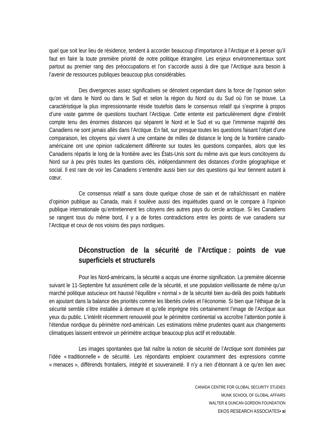quel que soit leur lieu de résidence, tendent à accorder beaucoup d'importance à l'Arctique et à penser qu'il faut en faire la toute première priorité de notre politique étrangère. Les enjeux environnementaux sont partout au premier rang des préoccupations et l'on s'accorde aussi à dire que l'Arctique aura besoin à l'avenir de ressources publiques beaucoup plus considérables.

 Des divergences assez significatives se dénotent cependant dans la force de l'opinion selon qu'on vit dans le Nord ou dans le Sud et selon la région du Nord ou du Sud où l'on se trouve. La caractéristique la plus impressionnante réside toutefois dans le consensus relatif qui s'exprime à propos d'une vaste gamme de questions touchant l'Arctique. Cette entente est particulièrement digne d'intérêt compte tenu des énormes distances qui séparent le Nord et le Sud et vu que l'immense majorité des Canadiens ne sont jamais allés dans l'Arctique. En fait, sur presque toutes les questions faisant l'objet d'une comparaison, les citoyens qui vivent à une centaine de milles de distance le long de la frontière canadoaméricaine ont une opinion radicalement différente sur toutes les questions comparées, alors que les Canadiens répartis le long de la frontière avec les États-Unis sont du même avis que leurs concitoyens du Nord sur à peu près toutes les questions clés, indépendamment des distances d'ordre géographique et social. Il est rare de voir les Canadiens s'entendre aussi bien sur des questions qui leur tiennent autant à cœur.

 Ce consensus relatif a sans doute quelque chose de sain et de rafraîchissant en matière d'opinion publique au Canada, mais il soulève aussi des inquiétudes quand on le compare à l'opinion publique internationale qu'entretiennent les citoyens des autres pays du cercle arctique. Si les Canadiens se rangent tous du même bord, il y a de fortes contradictions entre les points de vue canadiens sur l'Arctique et ceux de nos voisins des pays nordiques.

#### **Déconstruction de la sécurité de l'Arctique : points de vue superficiels et structurels**

 Pour les Nord-américains, la sécurité a acquis une énorme signification. La première décennie suivant le 11-Septembre fut assurément celle de la sécurité, et une population vieillissante de même qu'un marché politique astucieux ont haussé l'équilibre « normal » de la sécurité bien au-delà des poids habituels en ajoutant dans la balance des priorités comme les libertés civiles et l'économie. Si bien que l'éthique de la sécurité semble s'être installée à demeure et qu'elle imprègne très certainement l'image de l'Arctique aux yeux du public. L'intérêt récemment renouvelé pour le périmètre continental va accroître l'attention portée à l'étendue nordique du périmètre nord-américain. Les estimations même prudentes quant aux changements climatiques laissent entrevoir un périmètre arctique beaucoup plus actif et redoutable.

 Les images spontanées que fait naître la notion de sécurité de l'Arctique sont dominées par l'idée « traditionnelle » de sécurité. Les répondants emploient couramment des expressions comme « menaces », différends frontaliers, intégrité et souveraineté. Il n'y a rien d'étonnant à ce qu'en lien avec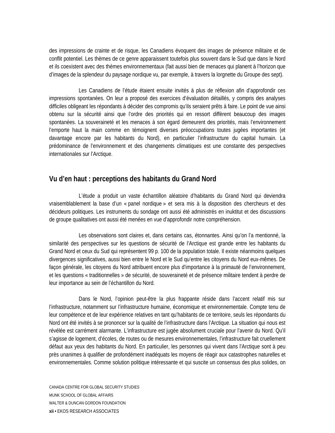des impressions de crainte et de risque, les Canadiens évoquent des images de présence militaire et de conflit potentiel. Les thèmes de ce genre apparaissent toutefois plus souvent dans le Sud que dans le Nord et ils coexistent avec des thèmes environnementaux (fait aussi bien de menaces qui planent à l'horizon que d'images de la splendeur du paysage nordique vu, par exemple, à travers la lorgnette du Groupe des sept).

 Les Canadiens de l'étude étaient ensuite invités à plus de réflexion afin d'approfondir ces impressions spontanées. On leur a proposé des exercices d'évaluation détaillés, y compris des analyses difficiles obligeant les répondants à décider des compromis qu'ils seraient prêts à faire. Le point de vue ainsi obtenu sur la sécurité ainsi que l'ordre des priorités qui en ressort diffèrent beaucoup des images spontanées. La souveraineté et les menaces à son égard demeurent des priorités, mais l'environnement l'emporte haut la main comme en témoignent diverses préoccupations toutes jugées importantes (et davantage encore par les habitants du Nord), en particulier l'infrastructure du capital humain. La prédominance de l'environnement et des changements climatiques est une constante des perspectives internationales sur l'Arctique.

#### **Vu d'en haut : perceptions des habitants du Grand Nord**

 L'étude a produit un vaste échantillon aléatoire d'habitants du Grand Nord qui deviendra vraisemblablement la base d'un « panel nordique » et sera mis à la disposition des chercheurs et des décideurs politiques. Les instruments du sondage ont aussi été administrés en inuktitut et des discussions de groupe qualitatives ont aussi été menées en vue d'approfondir notre compréhension.

 Les observations sont claires et, dans certains cas, étonnantes. Ainsi qu'on l'a mentionné, la similarité des perspectives sur les questions de sécurité de l'Arctique est grande entre les habitants du Grand Nord et ceux du Sud qui représentent 99 p. 100 de la population totale. Il existe néanmoins quelques divergences significatives, aussi bien entre le Nord et le Sud qu'entre les citoyens du Nord eux-mêmes. De façon générale, les citoyens du Nord attribuent encore plus d'importance à la primauté de l'environnement, et les questions « traditionnelles » de sécurité, de souveraineté et de présence militaire tendent à perdre de leur importance au sein de l'échantillon du Nord.

 Dans le Nord, l'opinion peut-être la plus frappante réside dans l'accent relatif mis sur l'infrastructure, notamment sur l'infrastructure humaine, économique et environnementale. Compte tenu de leur compétence et de leur expérience relatives en tant qu'habitants de ce territoire, seuls les répondants du Nord ont été invités à se prononcer sur la qualité de l'infrastructure dans l'Arctique. La situation qui nous est révélée est carrément alarmante. L'infrastructure est jugée absolument cruciale pour l'avenir du Nord. Qu'il s'agisse de logement, d'écoles, de routes ou de mesures environnementales, l'infrastructure fait cruellement défaut aux yeux des habitants du Nord. En particulier, les personnes qui vivent dans l'Arctique sont à peu près unanimes à qualifier de profondément inadéquats les moyens de réagir aux catastrophes naturelles et environnementales. Comme solution politique intéressante et qui suscite un consensus des plus solides, on

CANADA CENTRE FOR GLOBAL SECURITY STUDIES MUNK SCHOOL OF GLOBAL AFFAIRS WALTER & DUNCAN GORDON FOUNDATION **xii •** EKOS RESEARCH ASSOCIATES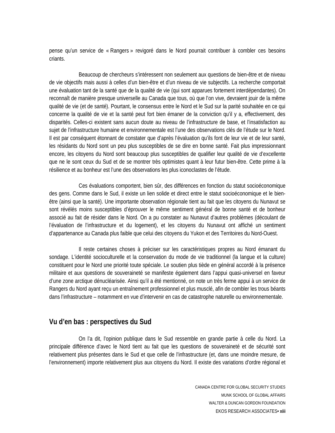pense qu'un service de « Rangers » revigoré dans le Nord pourrait contribuer à combler ces besoins criants.

 Beaucoup de chercheurs s'intéressent non seulement aux questions de bien-être et de niveau de vie objectifs mais aussi à celles d'un bien-être et d'un niveau de vie subjectifs. La recherche comportait une évaluation tant de la santé que de la qualité de vie (qui sont apparues fortement interdépendantes). On reconnaît de manière presque universelle au Canada que tous, où que l'on vive, devraient jouir de la même qualité de vie (et de santé). Pourtant, le consensus entre le Nord et le Sud sur la parité souhaitée en ce qui concerne la qualité de vie et la santé peut fort bien émaner de la conviction qu'il y a, effectivement, des disparités. Celles-ci existent sans aucun doute au niveau de l'infrastructure de base, et l'insatisfaction au sujet de l'infrastructure humaine et environnementale est l'une des observations clés de l'étude sur le Nord. Il est par conséquent étonnant de constater que d'après l'évaluation qu'ils font de leur vie et de leur santé, les résidants du Nord sont un peu plus susceptibles de se dire en bonne santé. Fait plus impressionnant encore, les citoyens du Nord sont beaucoup plus susceptibles de qualifier leur qualité de vie d'excellente que ne le sont ceux du Sud et de se montrer très optimistes quant à leur futur bien-être. Cette prime à la résilience et au bonheur est l'une des observations les plus iconoclastes de l'étude.

 Ces évaluations comportent, bien sûr, des différences en fonction du statut socioéconomique des gens. Comme dans le Sud, il existe un lien solide et direct entre le statut socioéconomique et le bienêtre (ainsi que la santé). Une importante observation régionale tient au fait que les citoyens du Nunavut se sont révélés moins susceptibles d'éprouver le même sentiment général de bonne santé et de bonheur associé au fait de résider dans le Nord. On a pu constater au Nunavut d'autres problèmes (découlant de l'évaluation de l'infrastructure et du logement), et les citoyens du Nunavut ont affiché un sentiment d'appartenance au Canada plus faible que celui des citoyens du Yukon et des Territoires du Nord-Ouest.

 Il reste certaines choses à préciser sur les caractéristiques propres au Nord émanant du sondage. L'identité socioculturelle et la conservation du mode de vie traditionnel (la langue et la culture) constituent pour le Nord une priorité toute spéciale. Le soutien plus tiède en général accordé à la présence militaire et aux questions de souveraineté se manifeste également dans l'appui quasi-universel en faveur d'une zone arctique dénucléarisée. Ainsi qu'il a été mentionné, on note un très ferme appui à un service de Rangers du Nord ayant reçu un entraînement professionnel et plus musclé, afin de combler les trous béants dans l'infrastructure – notamment en vue d'intervenir en cas de catastrophe naturelle ou environnementale.

#### **Vu d'en bas : perspectives du Sud**

 On l'a dit, l'opinion publique dans le Sud ressemble en grande partie à celle du Nord. La principale différence d'avec le Nord tient au fait que les questions de souveraineté et de sécurité sont relativement plus présentes dans le Sud et que celle de l'infrastructure (et, dans une moindre mesure, de l'environnement) importe relativement plus aux citoyens du Nord. Il existe des variations d'ordre régional et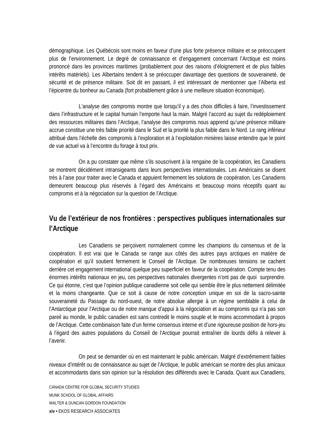démographique. Les Québécois sont moins en faveur d'une plus forte présence militaire et se préoccupent plus de l'environnement. Le degré de connaissance et d'engagement concernant l'Arctique est moins prononcé dans les provinces maritimes (probablement pour des raisons d'éloignement et de plus faibles intérêts matériels). Les Albertains tendent à se préoccuper davantage des questions de souveraineté, de sécurité et de présence militaire. Soit dit en passant, il est intéressant de mentionner que l'Alberta est l'épicentre du bonheur au Canada (fort probablement grâce à une meilleure situation économique).

 L'analyse des compromis montre que lorsqu'il y a des choix difficiles à faire, l'investissement dans l'infrastructure et le capital humain l'emporte haut la main. Malgré l'accord au sujet du redéploiement des ressources militaires dans l'Arctique, l'analyse des compromis nous apprend qu'une présence militaire accrue constitue une très faible priorité dans le Sud et la priorité la plus faible dans le Nord. Le rang inférieur attribué dans l'échelle des compromis à l'exploration et à l'exploitation minières laisse entendre que le point de vue actuel va à l'encontre du forage à tout prix.

 On a pu constater que même s'ils souscrivent à la rengaine de la coopération, les Canadiens se montrent décidément intransigeants dans leurs perspectives internationales. Les Américains se disent très à l'aise pour traiter avec le Canada et appuient fermement les solutions de coopération. Les Canadiens demeurent beaucoup plus réservés à l'égard des Américains et beaucoup moins réceptifs quant au compromis et à la négociation sur la question de l'Arctique.

#### **Vu de l'extérieur de nos frontières : perspectives publiques internationales sur l'Arctique**

 Les Canadiens se perçoivent normalement comme les champions du consensus et de la coopération. Il est vrai que le Canada se range aux côtés des autres pays arctiques en matière de coopération et qu'il soutient fermement le Conseil de l'Arctique. De nombreuses tensions se cachent derrière cet engagement international quelque peu superficiel en faveur de la coopération. Compte tenu des énormes intérêts nationaux en jeu, ces perspectives nationales divergentes n'ont pas de quoi surprendre. Ce qui étonne, c'est que l'opinion publique canadienne soit celle qui semble être le plus nettement délimitée et la moins changeante. Que ce soit à cause de notre conception unique en soi de la sacro-sainte souveraineté du Passage du nord-ouest, de notre absolue allergie à un régime semblable à celui de l'Antarctique pour l'Arctique ou de notre manque d'appui à la négociation et au compromis qui n'a pas son pareil au monde, le public canadien est sans contredit le moins souple et le moins accommodant à propos de l'Arctique. Cette combinaison faite d'un ferme consensus interne et d'une rigoureuse position de hors-jeu à l'égard des autres populations du Conseil de l'Arctique pourrait entraîner de lourds défis à relever à l'avenir.

 On peut se demander où en est maintenant le public américain. Malgré d'extrêmement faibles niveaux d'intérêt ou de connaissance au sujet de l'Arctique, le public américain se montre des plus amicaux et accommodants dans son opinion sur la résolution des différends avec le Canada. Quant aux Canadiens,

CANADA CENTRE FOR GLOBAL SECURITY STUDIES MUNK SCHOOL OF GLOBAL AFFAIRS WALTER & DUNCAN GORDON FOUNDATION **xiv •** EKOS RESEARCH ASSOCIATES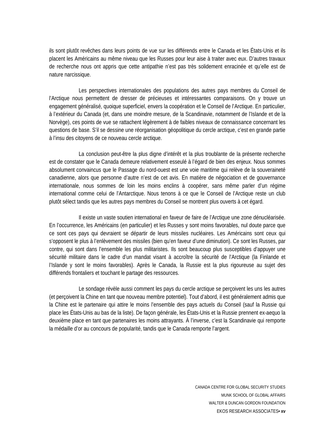ils sont plutôt revêches dans leurs points de vue sur les différends entre le Canada et les États-Unis et ils placent les Américains au même niveau que les Russes pour leur aise à traiter avec eux. D'autres travaux de recherche nous ont appris que cette antipathie n'est pas très solidement enracinée et qu'elle est de nature narcissique.

 Les perspectives internationales des populations des autres pays membres du Conseil de l'Arctique nous permettent de dresser de précieuses et intéressantes comparaisons. On y trouve un engagement généralisé, quoique superficiel, envers la coopération et le Conseil de l'Arctique. En particulier, à l'extérieur du Canada (et, dans une moindre mesure, de la Scandinavie, notamment de l'Islande et de la Norvège), ces points de vue se rattachent légèrement à de faibles niveaux de connaissance concernant les questions de base. S'il se dessine une réorganisation géopolitique du cercle arctique, c'est en grande partie à l'insu des citoyens de ce nouveau cercle arctique.

 La conclusion peut-être la plus digne d'intérêt et la plus troublante de la présente recherche est de constater que le Canada demeure relativement esseulé à l'égard de bien des enjeux. Nous sommes absolument convaincus que le Passage du nord-ouest est une voie maritime qui relève de la souveraineté canadienne, alors que personne d'autre n'est de cet avis. En matière de négociation et de gouvernance internationale, nous sommes de loin les moins enclins à coopérer, sans même parler d'un régime international comme celui de l'Antarctique. Nous tenons à ce que le Conseil de l'Arctique reste un club plutôt sélect tandis que les autres pays membres du Conseil se montrent plus ouverts à cet égard.

 Il existe un vaste soutien international en faveur de faire de l'Arctique une zone dénucléarisée. En l'occurrence, les Américains (en particulier) et les Russes y sont moins favorables, nul doute parce que ce sont ces pays qui devraient se départir de leurs missiles nucléaires. Les Américains sont ceux qui s'opposent le plus à l'enlèvement des missiles (bien qu'en faveur d'une diminution). Ce sont les Russes, par contre, qui sont dans l'ensemble les plus militaristes. Ils sont beaucoup plus susceptibles d'appuyer une sécurité militaire dans le cadre d'un mandat visant à accroître la sécurité de l'Arctique (la Finlande et l'Islande y sont le moins favorables). Après le Canada, la Russie est la plus rigoureuse au sujet des différends frontaliers et touchant le partage des ressources.

 Le sondage révèle aussi comment les pays du cercle arctique se perçoivent les uns les autres (et perçoivent la Chine en tant que nouveau membre potentiel). Tout d'abord, il est généralement admis que la Chine est le partenaire qui attire le moins l'ensemble des pays actuels du Conseil (sauf la Russie qui place les États-Unis au bas de la liste). De façon générale, les États-Unis et la Russie prennent ex-aequo la deuxième place en tant que partenaires les moins attrayants. À l'inverse, c'est la Scandinavie qui remporte la médaille d'or au concours de popularité, tandis que le Canada remporte l'argent.

> CANADA CENTRE FOR GLOBAL SECURITY STUDIES MUNK SCHOOL OF GLOBAL AFFAIRS WALTER & DUNCAN GORDON FOUNDATION EKOS RESEARCH ASSOCIATES**• xv**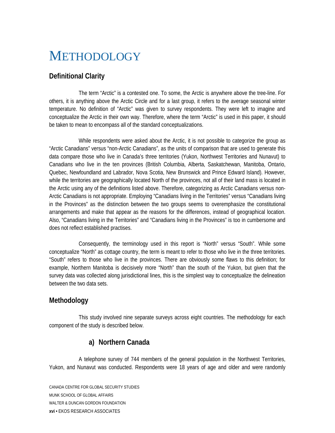# <span id="page-17-0"></span>**METHODOLOGY**

#### **Definitional Clarity**

 The term "Arctic" is a contested one. To some, the Arctic is anywhere above the tree-line. For others, it is anything above the Arctic Circle and for a last group, it refers to the average seasonal winter temperature. No definition of "Arctic" was given to survey respondents. They were left to imagine and conceptualize the Arctic in their own way. Therefore, where the term "Arctic" is used in this paper, it should be taken to mean to encompass all of the standard conceptualizations.

 While respondents were asked about the Arctic, it is not possible to categorize the group as "Arctic Canadians" versus "non-Arctic Canadians", as the units of comparison that are used to generate this data compare those who live in Canada's three territories (Yukon, Northwest Territories and Nunavut) to Canadians who live in the ten provinces (British Columbia, Alberta, Saskatchewan, Manitoba, Ontario, Quebec, Newfoundland and Labrador, Nova Scotia, New Brunswick and Prince Edward Island). However, while the territories are geographically located North of the provinces, not all of their land mass is located in the Arctic using any of the definitions listed above. Therefore, categorizing as Arctic Canadians versus non-Arctic Canadians is not appropriate. Employing "Canadians living in the Territories" versus "Canadians living in the Provinces" as the distinction between the two groups seems to overemphasize the constitutional arrangements and make that appear as the reasons for the differences, instead of geographical location. Also, "Canadians living in the Territories" and "Canadians living in the Provinces" is too in cumbersome and does not reflect established practises.

 Consequently, the terminology used in this report is "North" versus "South". While some conceptualize "North" as cottage country, the term is meant to refer to those who live in the three territories. "South" refers to those who live in the provinces. There are obviously some flaws to this definition; for example, Northern Manitoba is decisively more "North" than the south of the Yukon, but given that the survey data was collected along jurisdictional lines, this is the simplest way to conceptualize the delineation between the two data sets.

#### **Methodology**

 This study involved nine separate surveys across eight countries. The methodology for each component of the study is described below.

#### **a) Northern Canada**

 A telephone survey of 744 members of the general population in the Northwest Territories, Yukon, and Nunavut was conducted. Respondents were 18 years of age and older and were randomly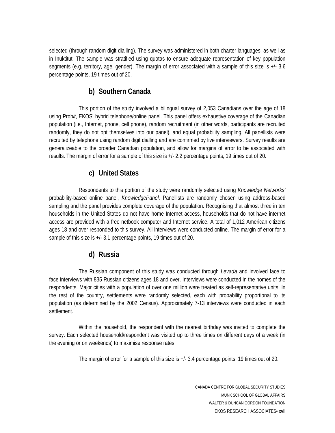selected (through random digit dialling). The survey was administered in both charter languages, as well as in Inuktitut. The sample was stratified using quotas to ensure adequate representation of key population segments (e.g. territory, age, gender). The margin of error associated with a sample of this size is +/- 3.6 percentage points, 19 times out of 20.

#### **b) Southern Canada**

 This portion of the study involved a bilingual survey of 2,053 Canadians over the age of 18 using Prob*it*, EKOS' hybrid telephone/online panel. This panel offers exhaustive coverage of the Canadian population (i.e., Internet, phone, cell phone), random recruitment (in other words, participants are recruited randomly, they do not opt themselves into our panel), and equal probability sampling. All panellists were recruited by telephone using random digit dialling and are confirmed by live interviewers. Survey results are generalizeable to the broader Canadian population, and allow for margins of error to be associated with results. The margin of error for a sample of this size is +/- 2.2 percentage points, 19 times out of 20.

#### **c) United States**

 Respondents to this portion of the study were randomly selected using *Knowledge Networks'*  probability-based online panel, *KnowledgePanel*. Panellists are randomly chosen using address-based sampling and the panel provides complete coverage of the population. Recognising that almost three in ten households in the United States do not have home Internet access, households that do not have internet access are provided with a free netbook computer and Internet service. A total of 1,012 American citizens ages 18 and over responded to this survey. All interviews were conducted online. The margin of error for a sample of this size is +/- 3.1 percentage points, 19 times out of 20.

#### **d) Russia**

 The Russian component of this study was conducted through *Levada* and involved face to face interviews with 835 Russian citizens ages 18 and over. Interviews were conducted in the homes of the respondents. Major cities with a population of over one million were treated as self-representative units. In the rest of the country, settlements were randomly selected, each with probability proportional to its population (as determined by the 2002 Census). Approximately 7-13 interviews were conducted in each settlement.

 Within the household, the respondent with the nearest birthday was invited to complete the survey. Each selected household/respondent was visited up to three times on different days of a week (in the evening or on weekends) to maximise response rates.

The margin of error for a sample of this size is +/- 3.4 percentage points, 19 times out of 20.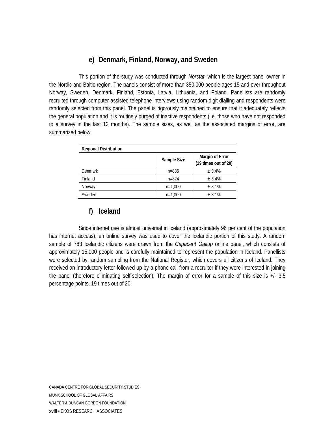#### **e) Denmark, Finland, Norway, and Sweden**

 This portion of the study was conducted through *Norstat*, which is the largest panel owner in the Nordic and Baltic region. The panels consist of more than 350,000 people ages 15 and over throughout Norway, Sweden, Denmark, Finland, Estonia, Latvia, Lithuania, and Poland. Panellists are randomly recruited through computer assisted telephone interviews using random digit dialling and respondents were randomly selected from this panel. The panel is rigorously maintained to ensure that it adequately reflects the general population and it is routinely purged of inactive respondents (i.e. those who have not responded to a survey in the last 12 months). The sample sizes, as well as the associated margins of error, are summarized below.

| <b>Regional Distribution</b> |             |                                         |  |  |  |  |
|------------------------------|-------------|-----------------------------------------|--|--|--|--|
|                              | Sample Size | Margin of Error<br>(19 times out of 20) |  |  |  |  |
| <b>Denmark</b>               | $n = 835$   | ± 3.4%                                  |  |  |  |  |
| Finland                      | $n = 824$   | ± 3.4%                                  |  |  |  |  |
| Norway                       | $n=1,000$   | ± 3.1%                                  |  |  |  |  |
| Sweden                       | $n=1,000$   | ± 3.1%                                  |  |  |  |  |

#### **f) Iceland**

 Since internet use is almost universal in Iceland (approximately 96 per cent of the population has internet access), an online survey was used to cover the Icelandic portion of this study. A random sample of 783 Icelandic citizens were drawn from the *Capacent Gallup* online panel, which consists of approximately 15,000 people and is carefully maintained to represent the population in Iceland. Panellists were selected by random sampling from the National Register, which covers all citizens of Iceland. They received an introductory letter followed up by a phone call from a recruiter if they were interested in joining the panel (therefore eliminating self-selection). The margin of error for a sample of this size is +/- 3.5 percentage points, 19 times out of 20.

CANADA CENTRE FOR GLOBAL SECURITY STUDIES MUNK SCHOOL OF GLOBAL AFFAIRS WALTER & DUNCAN GORDON FOUNDATION **xviii •** EKOS RESEARCH ASSOCIATES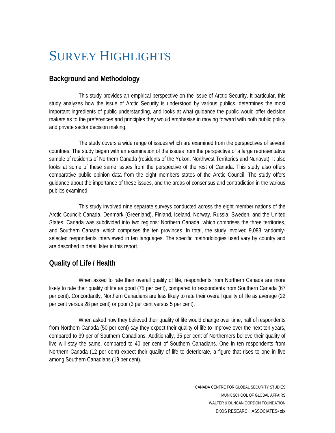## <span id="page-20-0"></span>SURVEY HIGHLIGHTS

#### **Background and Methodology**

 This study provides an empirical perspective on the issue of Arctic Security. It particular, this study analyzes how the issue of Arctic Security is understood by various publics, determines the most important ingredients of public understanding, and looks at what guidance the public would offer decision makers as to the preferences and principles they would emphasise in moving forward with both public policy and private sector decision making.

 The study covers a wide range of issues which are examined from the perspectives of several countries. The study began with an examination of the issues from the perspective of a large representative sample of residents of Northern Canada (residents of the Yukon, Northwest Territories and Nunavut). It also looks at some of these same issues from the perspective of the rest of Canada. This study also offers comparative public opinion data from the eight members states of the Arctic Council. The study offers guidance about the importance of these issues, and the areas of consensus and contradiction in the various publics examined.

 This study involved nine separate surveys conducted across the eight member nations of the Arctic Council: Canada, Denmark (Greenland), Finland, Iceland, Norway, Russia, Sweden, and the United States. Canada was subdivided into two regions: Northern Canada, which comprises the three territories, and Southern Canada, which comprises the ten provinces. In total, the study involved 9,083 randomlyselected respondents interviewed in ten languages. The specific methodologies used vary by country and are described in detail later in this report.

#### **Quality of Life / Health**

 When asked to rate their overall quality of life, respondents from Northern Canada are more likely to rate their quality of life as good (75 per cent), compared to respondents from Southern Canada (67 per cent). Concordantly, Northern Canadians are less likely to rate their overall quality of life as average (22 per cent versus 28 per cent) or poor (3 per cent versus 5 per cent).

When asked how they believed their quality of life would change over time, half of respondents from Northern Canada (50 per cent) say they expect their quality of life to improve over the next ten years, compared to 39 per of Southern Canadians. Additionally, 35 per cent of Northerners believe their quality of live will stay the same, compared to 40 per cent of Southern Canadians. One in ten respondents from Northern Canada (12 per cent) expect their quality of life to deteriorate, a figure that rises to one in five among Southern Canadians (19 per cent).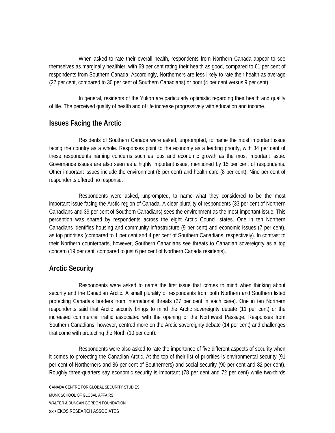When asked to rate their overall health, respondents from Northern Canada appear to see themselves as marginally healthier, with 69 per cent rating their health as good, compared to 61 per cent of respondents from Southern Canada. Accordingly, Northerners are less likely to rate their health as average (27 per cent, compared to 30 per cent of Southern Canadians) or poor (4 per cent versus 9 per cent).

 In general, residents of the Yukon are particularly optimistic regarding their health and quality of life. The perceived quality of health and of life increase progressively with education and income.

#### **Issues Facing the Arctic**

 Residents of Southern Canada were asked, unprompted, to name the most important issue facing the country as a whole. Responses point to the economy as a leading priority, with 34 per cent of these respondents naming concerns such as jobs and economic growth as the most important issue. Governance issues are also seen as a highly important issue, mentioned by 15 per cent of respondents. Other important issues include the environment (8 per cent) and health care (8 per cent). Nine per cent of respondents offered no response.

 Respondents were asked, unprompted, to name what they considered to be the most important issue facing the Arctic region of Canada. A clear plurality of respondents (33 per cent of Northern Canadians and 39 per cent of Southern Canadians) sees the environment as the most important issue. This perception was shared by respondents across the eight Arctic Council states. One in ten Northern Canadians identifies housing and community infrastructure (9 per cent) and economic issues (7 per cent), as top priorities (compared to 1 per cent and 4 per cent of Southern Canadians, respectively). In contrast to their Northern counterparts, however, Southern Canadians see threats to Canadian sovereignty as a top concern (19 per cent, compared to just 6 per cent of Northern Canada residents).

#### **Arctic Security**

 Respondents were asked to name the first issue that comes to mind when thinking about security and the Canadian Arctic. A small plurality of respondents from both Northern and Southern listed protecting Canada's borders from international threats (27 per cent in each case). One in ten Northern respondents said that Arctic security brings to mind the Arctic sovereignty debate (11 per cent) or the increased commercial traffic associated with the opening of the Northwest Passage. Responses from Southern Canadians, however, centred more on the Arctic sovereignty debate (14 per cent) and challenges that come with protecting the North (10 per cent).

 Respondents were also asked to rate the importance of five different aspects of security when it comes to protecting the Canadian Arctic. At the top of their list of priorities is environmental security (91 per cent of Northerners and 86 per cent of Southerners) and social security (90 per cent and 82 per cent). Roughly three-quarters say economic security is important (78 per cent and 72 per cent) while two-thirds

CANADA CENTRE FOR GLOBAL SECURITY STUDIES MUNK SCHOOL OF GLOBAL AFFAIRS WALTER & DUNCAN GORDON FOUNDATION **xx •** EKOS RESEARCH ASSOCIATES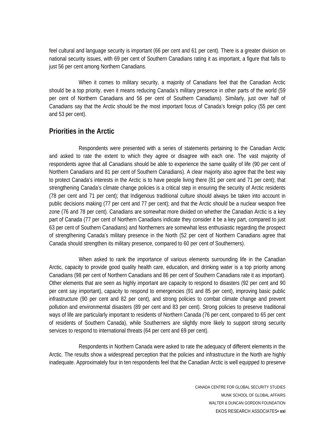feel cultural and language security is important (66 per cent and 61 per cent). There is a greater division on national security issues, with 69 per cent of Southern Canadians rating it as important, a figure that falls to just 56 per cent among Northern Canadians.

 When it comes to military security, a majority of Canadians feel that the Canadian Arctic should be a top priority, even it means reducing Canada's military presence in other parts of the world (59 per cent of Northern Canadians and 56 per cent of Southern Canadians). Similarly, just over half of Canadians say that the Arctic should be the most important focus of Canada's foreign policy (55 per cent and 53 per cent).

#### **Priorities in the Arctic**

Respondents were presented with a series of statements pertaining to the Canadian Arctic and asked to rate the extent to which they agree or disagree with each one. The vast majority of respondents agree that all Canadians should be able to experience the same quality of life (90 per cent of Northern Canadians and 81 per cent of Southern Canadians). A clear majority also agree that the best way to protect Canada's interests in the Arctic is to have people living there (81 per cent and 71 per cent); that strengthening Canada's climate change policies is a critical step in ensuring the security of Arctic residents (78 per cent and 71 per cent); that Indigenous traditional culture should always be taken into account in public decisions making (77 per cent and 77 per cent); and that the Arctic should be a nuclear weapon free zone (76 and 78 per cent). Canadians are somewhat more divided on whether the Canadian Arctic is a key part of Canada (77 per cent of Northern Canadians indicate they consider it be a key part, compared to just 63 per cent of Southern Canadians) and Northerners are somewhat less enthusiastic regarding the prospect of strengthening Canada's military presence in the North (52 per cent of Northern Canadians agree that Canada should strengthen its military presence, compared to 60 per cent of Southerners).

 When asked to rank the importance of various elements surrounding life in the Canadian Arctic, capacity to provide good quality health care, education, and drinking water is a top priority among Canadians (98 per cent of Northern Canadians and 86 per cent of Southern Canadians rate it as important). Other elements that are seen as highly important are capacity to respond to disasters (92 per cent and 90 per cent say important), capacity to respond to emergencies (91 and 85 per cent), improving basic public infrastructure (90 per cent and 82 per cent), and strong policies to combat climate change and prevent pollution and environmental disasters (89 per cent and 83 per cent). Strong policies to preserve traditional ways of life are particularly important to residents of Northern Canada (76 per cent, compared to 65 per cent of residents of Southern Canada), while Southerners are slightly more likely to support strong security services to respond to international threats (64 per cent and 69 per cent).

 Respondents in Northern Canada were asked to rate the adequacy of different elements in the Arctic. The results show a widespread perception that the policies and infrastructure in the North are highly inadequate. Approximately four in ten respondents feel that the Canadian Arctic is well equipped to preserve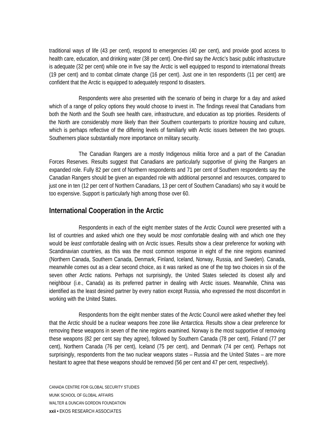traditional ways of life (43 per cent), respond to emergencies (40 per cent), and provide good access to health care, education, and drinking water (38 per cent). One-third say the Arctic's basic public infrastructure is adequate (32 per cent) while one in five say the Arctic is well equipped to respond to international threats (19 per cent) and to combat climate change (16 per cent). Just one in ten respondents (11 per cent) are confident that the Arctic is equipped to adequately respond to disasters.

 Respondents were also presented with the scenario of being in charge for a day and asked which of a range of policy options they would choose to invest in. The findings reveal that Canadians from both the North and the South see health care, infrastructure, and education as top priorities. Residents of the North are considerably more likely than their Southern counterparts to prioritize housing and culture, which is perhaps reflective of the differing levels of familiarly with Arctic issues between the two groups. Southerners place substantially more importance on military security.

 The Canadian Rangers are a mostly Indigenous militia force and a part of the Canadian Forces Reserves. Results suggest that Canadians are particularly supportive of giving the Rangers an expanded role. Fully 82 per cent of Northern respondents and 71 per cent of Southern respondents say the Canadian Rangers should be given an expanded role with additional personnel and resources, compared to just one in ten (12 per cent of Northern Canadians, 13 per cent of Southern Canadians) who say it would be too expensive. Support is particularly high among those over 60.

#### **International Cooperation in the Arctic**

 Respondents in each of the eight member states of the Arctic Council were presented with a list of countries and asked which one they would be *most* comfortable dealing with and which one they would be *least* comfortable dealing with on Arctic issues. Results show a clear preference for working with Scandinavian countries, as this was the most common response in eight of the nine regions examined (Northern Canada, Southern Canada, Denmark, Finland, Iceland, Norway, Russia, and Sweden). Canada, meanwhile comes out as a clear second choice, as it was ranked as one of the top two choices in six of the seven other Arctic nations. Perhaps not surprisingly, the United States selected its closest ally and neighbour (i.e., Canada) as its preferred partner in dealing with Arctic issues. Meanwhile, China was identified as the least desired partner by every nation except Russia, who expressed the most discomfort in working with the United States.

 Respondents from the eight member states of the Arctic Council were asked whether they feel that the Arctic should be a nuclear weapons free zone like Antarctica. Results show a clear preference for removing these weapons in seven of the nine regions examined. Norway is the most supportive of removing these weapons (82 per cent say they agree), followed by Southern Canada (78 per cent), Finland (77 per cent), Northern Canada (76 per cent), Iceland (75 per cent), and Denmark (74 per cent). Perhaps not surprisingly, respondents from the two nuclear weapons states – Russia and the United States – are more hesitant to agree that these weapons should be removed (56 per cent and 47 per cent, respectively).

CANADA CENTRE FOR GLOBAL SECURITY STUDIES MUNK SCHOOL OF GLOBAL AFFAIRS WALTER & DUNCAN GORDON FOUNDATION **xxii •** EKOS RESEARCH ASSOCIATES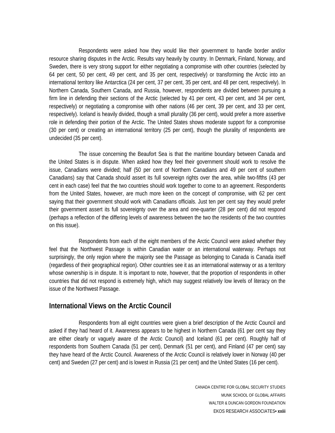Respondents were asked how they would like their government to handle border and/or resource sharing disputes in the Arctic. Results vary heavily by country. In Denmark, Finland, Norway, and Sweden, there is very strong support for either negotiating a compromise with other countries (selected by 64 per cent, 50 per cent, 49 per cent, and 35 per cent, respectively) or transforming the Arctic into an international territory like Antarctica (24 per cent, 37 per cent, 35 per cent, and 48 per cent, respectively). In Northern Canada, Southern Canada, and Russia, however, respondents are divided between pursuing a firm line in defending their sections of the Arctic (selected by 41 per cent, 43 per cent, and 34 per cent, respectively) or negotiating a compromise with other nations (46 per cent, 39 per cent, and 33 per cent, respectively). Iceland is heavily divided, though a small plurality (36 per cent), would prefer a more assertive role in defending their portion of the Arctic. The United States shows moderate support for a compromise (30 per cent) or creating an international territory (25 per cent), though the plurality of respondents are undecided (35 per cent).

 The issue concerning the Beaufort Sea is that the maritime boundary between Canada and the United States is in dispute. When asked how they feel their government should work to resolve the issue, Canadians were divided; half (50 per cent of Northern Canadians and 49 per cent of southern Canadians) say that Canada should assert its full sovereign rights over the area, while two-fifths (43 per cent in each case) feel that the two countries should work together to come to an agreement. Respondents from the United States, however, are much more keen on the concept of compromise, with 62 per cent saying that their government should work with Canadians officials. Just ten per cent say they would prefer their government assert its full sovereignty over the area and one-quarter (28 per cent) did not respond (perhaps a reflection of the differing levels of awareness between the two the residents of the two countries on this issue).

 Respondents from each of the eight members of the Arctic Council were asked whether they feel that the Northwest Passage is within Canadian water or an international waterway. Perhaps not surprisingly, the only region where the majority see the Passage as belonging to Canada is Canada itself (regardless of their geographical region). Other countries see it as an international waterway or as a territory whose ownership is in dispute. It is important to note, however, that the proportion of respondents in other countries that did not respond is extremely high, which may suggest relatively low levels of literacy on the issue of the Northwest Passage.

#### **International Views on the Arctic Council**

 Respondents from all eight countries were given a brief description of the Arctic Council and asked if they had heard of it. Awareness appears to be highest in Northern Canada (61 per cent say they are either clearly or vaguely aware of the Arctic Council) and Iceland (61 per cent). Roughly half of respondents from Southern Canada (51 per cent), Denmark (51 per cent), and Finland (47 per cent) say they have heard of the Arctic Council. Awareness of the Arctic Council is relatively lower in Norway (40 per cent) and Sweden (27 per cent) and is lowest in Russia (21 per cent) and the United States (16 per cent).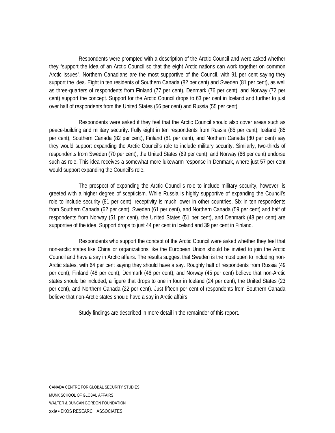Respondents were prompted with a description of the Arctic Council and were asked whether they "support the idea of an Arctic Council so that the eight Arctic nations can work together on common Arctic issues". Northern Canadians are the most supportive of the Council, with 91 per cent saying they support the idea. Eight in ten residents of Southern Canada (82 per cent) and Sweden (81 per cent), as well as three-quarters of respondents from Finland (77 per cent), Denmark (76 per cent), and Norway (72 per cent) support the concept. Support for the Arctic Council drops to 63 per cent in Iceland and further to just over half of respondents from the United States (56 per cent) and Russia (55 per cent).

Respondents were asked if they feel that the Arctic Council should also cover areas such as peace-building and military security. Fully eight in ten respondents from Russia (85 per cent), Iceland (85 per cent), Southern Canada (82 per cent), Finland (81 per cent), and Northern Canada (80 per cent) say they would support expanding the Arctic Council's role to include military security. Similarly, two-thirds of respondents from Sweden (70 per cent), the United States (69 per cent), and Norway (66 per cent) endorse such as role. This idea receives a somewhat more lukewarm response in Denmark, where just 57 per cent would support expanding the Council's role.

The prospect of expanding the Arctic Council's role to include military security, however, is greeted with a higher degree of scepticism. While Russia is highly supportive of expanding the Council's role to include security (81 per cent), receptivity is much lower in other countries. Six in ten respondents from Southern Canada (62 per cent), Sweden (61 per cent), and Northern Canada (59 per cent) and half of respondents from Norway (51 per cent), the United States (51 per cent), and Denmark (48 per cent) are supportive of the idea. Support drops to just 44 per cent in Iceland and 39 per cent in Finland.

Respondents who support the concept of the Arctic Council were asked whether they feel that non-arctic states like China or organizations like the European Union should be invited to join the Arctic Council and have a say in Arctic affairs. The results suggest that Sweden is the most open to including non-Arctic states, with 64 per cent saying they should have a say. Roughly half of respondents from Russia (49 per cent), Finland (48 per cent), Denmark (46 per cent), and Norway (45 per cent) believe that non-Arctic states should be included, a figure that drops to one in four in Iceland (24 per cent), the United States (23 per cent), and Northern Canada (22 per cent). Just fifteen per cent of respondents from Southern Canada believe that non-Arctic states should have a say in Arctic affairs.

Study findings are described in more detail in the remainder of this report.

CANADA CENTRE FOR GLOBAL SECURITY STUDIES MUNK SCHOOL OF GLOBAL AFFAIRS WALTER & DUNCAN GORDON FOUNDATION **xxiv •** EKOS RESEARCH ASSOCIATES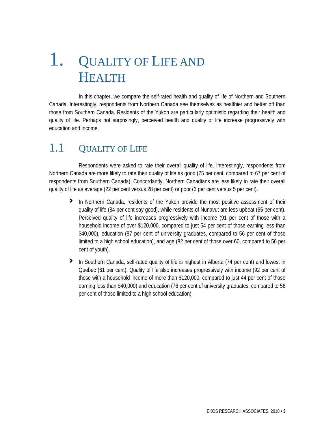# <span id="page-28-0"></span>1. QUALITY OF LIFE AND **HEALTH**

 In this chapter, we compare the self-rated health and quality of life of Northern and Southern Canada. Interestingly, respondents from Northern Canada see themselves as healthier and better off than those from Southern Canada. Residents of the Yukon are particularly optimistic regarding their health and quality of life. Perhaps not surprisingly, perceived health and quality of life increase progressively with education and income.

### 1.1 QUALITY OF LIFE

 Respondents were asked to rate their overall quality of life. Interestingly, respondents from Northern Canada are more likely to rate their quality of life as good (75 per cent, compared to 67 per cent of respondents from Southern Canada). Concordantly, Northern Canadians are less likely to rate their overall quality of life as average (22 per cent versus 28 per cent) or poor (3 per cent versus 5 per cent).

- **›** In Northern Canada, residents of the Yukon provide the most positive assessment of their quality of life (84 per cent say good), while residents of Nunavut are less upbeat (65 per cent). Perceived quality of life increases progressively with income (91 per cent of those with a household income of over \$120,000, compared to just 54 per cent of those earning less than \$40,000), education (87 per cent of university graduates, compared to 56 per cent of those limited to a high school education), and age (82 per cent of those over 60, compared to 56 per cent of youth).
- **›** In Southern Canada, self-rated quality of life is highest in Alberta (74 per cent) and lowest in earning less than \$40,000) and education (76 per cent of university graduates, compared to 56 per cent of those limited to a high school education). Quebec (61 per cent). Quality of life also increases progressively with income (92 per cent of those with a household income of more than \$120,000, compared to just 44 per cent of those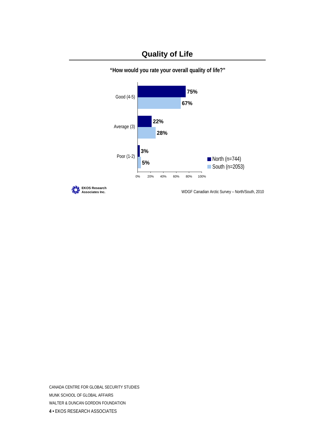#### **Quality of Life**



**"How would you rate your overall quality of life?"**

**EKOS Research**

**Associates Inc.** WDGF Canadian Arctic Survey – North/South, 2010

CANADA CENTRE FOR GLOBAL SECURITY STUDIES MUNK SCHOOL OF GLOBAL AFFAIRS WALTER & DUNCAN GORDON FOUNDATION **4 •** EKOS RESEARCH ASSOCIATES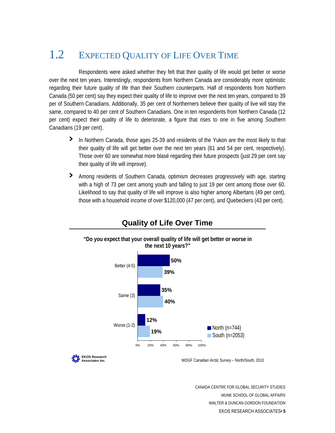### <span id="page-30-0"></span>1.2 EXPECTED QUALITY OF LIFE OVER TIME

Respondents were asked whether they felt that their quality of life would get better or worse over the next ten years. Interestingly, respondents from Northern Canada are considerably more optimistic regarding their future quality of life than their Southern counterparts. Half of respondents from Northern Canada (50 per cent) say they expect their quality of life to improve over the next ten years, compared to 39 per of Southern Canadians. Additionally, 35 per cent of Northerners believe their quality of live will stay the same, compared to 40 per cent of Southern Canadians. One in ten respondents from Northern Canada (12 per cent) expect their quality of life to deteriorate, a figure that rises to one in five among Southern Canadians (19 per cent).

- **›** In Northern Canada, those ages 25-39 and residents of the Yukon are the most likely to that their quality of life will get better over the next ten years (61 and 54 per cent, respectively). Those over 60 are somewhat more blasé regarding their future prospects (just 29 per cent say their quality of life will improve).
- **›** Among residents of Southern Canada, optimism decreases progressively with age, starting those with a household income of over \$120,000 (47 per cent), and Quebeckers (43 per cent). with a high of 73 per cent among youth and falling to just 19 per cent among those over 60. Likelihood to say that quality of life will improve is also higher among Albertans (49 per cent),



#### **Quality of Life Over Time**

**EKOS Research**

**Associates Inc.** WDGF Canadian Arctic Survey – North/South, 2010

CANADA CENTRE FOR GLOBAL SECURITY STUDIES MUNK SCHOOL OF GLOBAL AFFAIRS WALTER & DUNCAN GORDON FOUNDATION EKOS RESEARCH ASSOCIATES**• 5**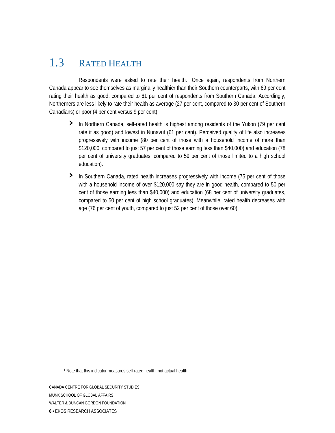### <span id="page-31-0"></span>1.3 RATED HEALTH

Respondents were asked to rate their health.<sup>1</sup> Once again, respondents from Northern Canada appear to see themselves as marginally healthier than their Southern counterparts, with 69 per cent rating their health as good, compared to 61 per cent of respondents from Southern Canada. Accordingly, Northerners are less likely to rate their health as average (27 per cent, compared to 30 per cent of Southern Canadians) or poor (4 per cent versus 9 per cent).

- **›** In Northern Canada, self-rated health is highest among residents of the Yukon (79 per cent rate it as good) and lowest in Nunavut (61 per cent). Perceived quality of life also increases progressively with income (80 per cent of those with a household income of more than \$120,000, compared to just 57 per cent of those earning less than \$40,000) and education (78 per cent of university graduates, compared to 59 per cent of those limited to a high school education).
- > In Southern Canada, rated health increases progressively with income (75 per cent of those compared to 50 per cent of high school graduates). Meanwhile, rated health decreases with age (76 per cent of youth, compared to just 52 per cent of those over 60). with a household income of over \$120,000 say they are in good health, compared to 50 per cent of those earning less than \$40,000) and education (68 per cent of university graduates,

<span id="page-31-1"></span><sup>1</sup> Note that this indicator measures self-rated health, not actual health.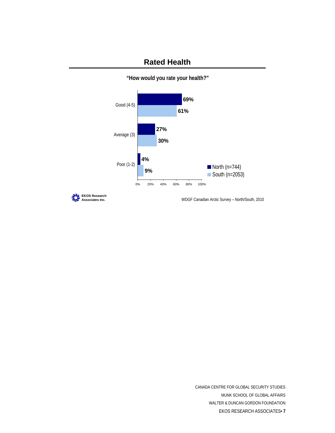#### **Rated Health**



**"How would you rate your health?"**

**EKOS** Research

**Associates Inc.** WDGF Canadian Arctic Survey – North/South, 2010

CANADA CENTRE FOR GLOBAL SECURITY STUDIES MUNK SCHOOL OF GLOBAL AFFAIRS WALTER & DUNCAN GORDON FOUNDATION EKOS RESEARCH ASSOCIATES**• 7**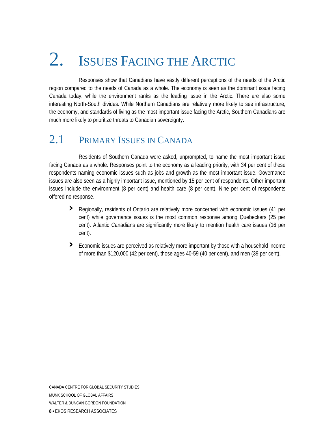# <span id="page-33-0"></span>2. ISSUES FACING THE ARCTIC

 Responses show that Canadians have vastly different perceptions of the needs of the Arctic region compared to the needs of Canada as a whole. The economy is seen as the dominant issue facing Canada today, while the environment ranks as the leading issue in the Arctic. There are also some interesting North-South divides. While Northern Canadians are relatively more likely to see infrastructure, the economy, and standards of living as the most important issue facing the Arctic, Southern Canadians are much more likely to prioritize threats to Canadian sovereignty.

### 2.1 PRIMARY ISSUES IN CANADA

 Residents of Southern Canada were asked, unprompted, to name the most important issue facing Canada as a whole. Responses point to the economy as a leading priority, with 34 per cent of these respondents naming economic issues such as jobs and growth as the most important issue. Governance issues are also seen as a highly important issue, mentioned by 15 per cent of respondents. Other important issues include the environment (8 per cent) and health care (8 per cent). Nine per cent of respondents offered no response.

- **›** Regionally, residents of Ontario are relatively more concerned with economic issues (41 per cent) while governance issues is the most common response among Quebeckers (25 per cent). Atlantic Canadians are significantly more likely to mention health care issues (16 per cent).
- **›** Economic issues are perceived as relatively more important by those with a household incomeof more than \$120,000 (42 per cent), those ages 40-59 (40 per cent), and men (39 per cent).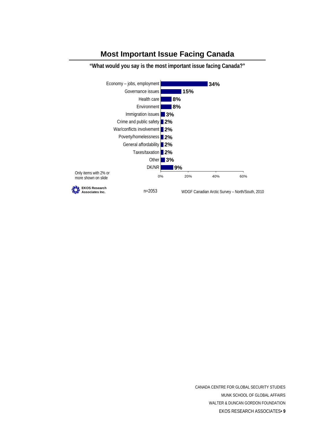#### **Most Important Issue Facing Canada**



**"What would you say is the most important issue facing Canada?"**

CANADA CENTRE FOR GLOBAL SECURITY STUDIES MUNK SCHOOL OF GLOBAL AFFAIRS WALTER & DUNCAN GORDON FOUNDATION EKOS RESEARCH ASSOCIATES**• 9**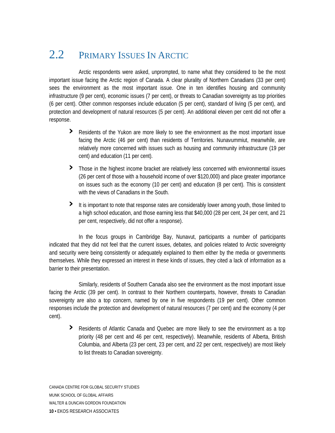### <span id="page-35-0"></span>2.2 PRIMARY ISSUES IN ARCTIC

 Arctic respondents were asked, unprompted, to name what they considered to be the most important issue facing the Arctic region of Canada. A clear plurality of Northern Canadians (33 per cent) sees the environment as the most important issue. One in ten identifies housing and community infrastructure (9 per cent), economic issues (7 per cent), or threats to Canadian sovereignty as top priorities (6 per cent). Other common responses include education (5 per cent), standard of living (5 per cent), and protection and development of natural resources (5 per cent). An additional eleven per cent did not offer a response.

- **›** Residents of the Yukon are more likely to see the environment as the most important issue facing the Arctic (46 per cent) than residents of Territories. Nunavummiut, meanwhile, are relatively more concerned with issues such as housing and community infrastructure (19 per cent) and education (11 per cent).
- **›** Those in the highest income bracket are relatively less concerned with environmental issues on issues such as the economy (10 per cent) and education (8 per cent). This is consistent (26 per cent of those with a household income of over \$120,000) and place greater importance with the views of Canadians in the South.
- > It is important to note that response rates are considerably lower among youth, those limited to a high school education, and those earning less that \$40,000 (28 per cent, 24 per cent, and 21 per cent, respectively, did not offer a response).

and security were being consistently or adequately explained to them either by the media or governments themselves. While they expressed an interest in these kinds of issues, they cited a lack of information as a barrier to their presentation. In the focus groups in Cambridge Bay, Nunavut, participants a number of participants indicated that they did not feel that the current issues, debates, and policies related to Arctic sovereignty

sovereignty are also a top concern, named by one in five respondents (19 per cent). Other common respons es include the protection and development of natural resources (7 per cent) and the economy (4 per cent). Similarly, residents of Southern Canada also see the environment as the most important issue facing the Arctic (39 per cent). In contrast to their Northern counterparts, however, threats to Canadian

**›** Residents of Atlantic Canada and Quebec are more likely to see the environment as a top priority (48 per cent and 46 per cent, respectively). Meanwhile, residents of Alberta, British Columbia, and Alberta (23 per cent, 23 per cent, and 22 per cent, respectively) are most likely to list threats to Canadian sovereignty.

CANADA CENTRE FOR GLOBAL SECURITY STUDIES MUNK SCHOOL OF GLOBAL AFFAIRS WALTER & DUNCAN GORDON FOUNDATION **10 •** EKOS RESEARCH ASSOCIATES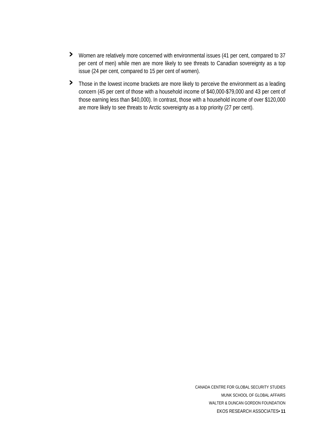- **›** Women are relatively more concerned with environmental issues (41 per cent, compared to 37 per cent of men) while men are more likely to see threats to Canadian sovereignty as a top issue (24 per cent, compared to 15 per cent of women).
- **›** Those in the lowest income brackets are more likely to perceive the environment as a leading concern (45 per cent of those with a household income of \$40,000-\$79,000 and 43 per cent of those earning less than \$40,000). In contrast, those with a household income of over \$120,000 are more likely to see threats to Arctic sovereignty as a top priority (27 per cent).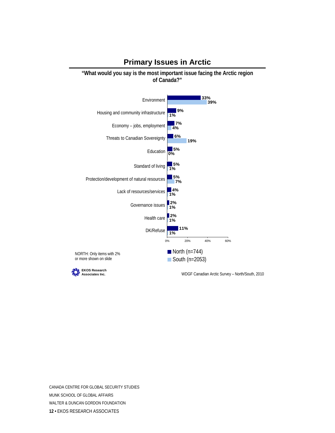#### **Primary Issues in Arctic**

**"What would you say is the most important issue facing the Arctic region of Canada?"**



CANADA CENTRE FOR GLOBAL SECURITY STUDIES MUNK SCHOOL OF GLOBAL AFFAIRS WALTER & DUNCAN GORDON FOUNDATION **12 •** EKOS RESEARCH ASSOCIATES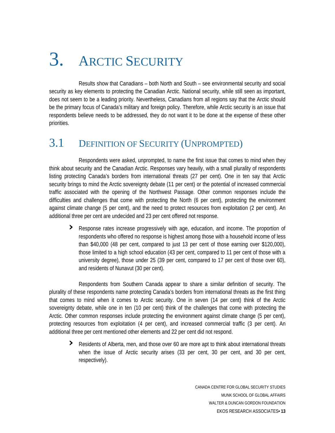# 3. ARCTIC SECURITY

 Results show that Canadians – both North and South – see environmental security and social security as key elements to protecting the Canadian Arctic. National security, while still seen as important, does not seem to be a leading priority. Nevertheless, Canadians from all regions say that the Arctic should be the primary focus of Canada's military and foreign policy. Therefore, while Arctic security is an issue that respondents believe needs to be addressed, they do not want it to be done at the expense of these other priorities.

## 3.1 DEFINITION OF SECURITY (UNPROMPTED)

 Respondents were asked, unprompted, to name the first issue that comes to mind when they think about security and the Canadian Arctic. Responses vary heavily, with a small plurality of respondents listing protecting Canada's borders from international threats (27 per cent). One in ten say that Arctic security brings to mind the Arctic sovereignty debate (11 per cent) or the potential of increased commercial traffic associated with the opening of the Northwest Passage. Other common responses include the difficulties and challenges that come with protecting the North (6 per cent), protecting the environment against climate change (5 per cent), and the need to protect resources from exploitation (2 per cent). An additional three per cent are undecided and 23 per cent offered not response.

**›** Response rates increase progressively with age, education, and income. The proportion of respondents who offered no response is highest among those with a household income of less than \$40,000 (48 per cent, compared to just 13 per cent of those earning over \$120,000), those limited to a high school education (43 per cent, compared to 11 per cent of those with a university degree), those under 25 (39 per cent, compared to 17 per cent of those over 60), and residents of Nunavut (30 per cent).

 Respondents from Southern Canada appear to share a similar definition of security. The plurality of these respondents name protecting Canada's borders from international threats as the first thing that comes to mind when it comes to Arctic security. One in seven (14 per cent) think of the Arctic sovereignty debate, while one in ten (10 per cent) think of the challenges that come with protecting the Arctic. Other common responses include protecting the environment against climate change (5 per cent), protecting resources from exploitation (4 per cent), and increased commercial traffic (3 per cent). An additional three per cent mentioned other elements and 22 per cent did not respond.

**›** when the issue of Arctic security arises (33 per cent, 30 per cent, and 30 per cent, respectively). Residents of Alberta, men, and those over 60 are more apt to think about international threats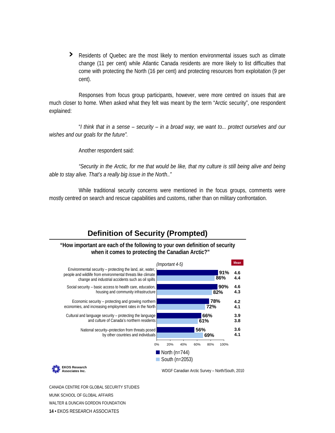**›** Residents of Quebec are the most likely to mention environmental issues such as climate change (11 per cent) while Atlantic Canada residents are more likely to list difficulties that come with protecting the North (16 per cent) and protecting resources from exploitation (9 per cent).

Responses from focus group participants, however, were more centred on issues that are much closer to home. When asked what they felt was meant by the term "Arctic security", one respondent explained:

 "*I think that in a sense – security – in a broad way, we want to... protect ourselves and our wishes and our goals for the future".* 

Another respondent said:

*"Security in the Arctic, for me that would be like, that my culture is still being alive and being able to stay alive. That's a really big issue in the North.."* 

While traditional security concerns were mentioned in the focus groups, comments were mostly centred on search and rescue capabilities and customs, rather than on military confrontation.

### **Definition of Security (Prompted)**

**"How important are each of the following to your own definition of security when it comes to protecting the Canadian Arctic?"**



CANADA CENTRE FOR GLOBAL SECURITY STUDIES MUNK SCHOOL OF GLOBAL AFFAIRS WALTER & DUNCAN GORDON FOUNDATION **14 •** EKOS RESEARCH ASSOCIATES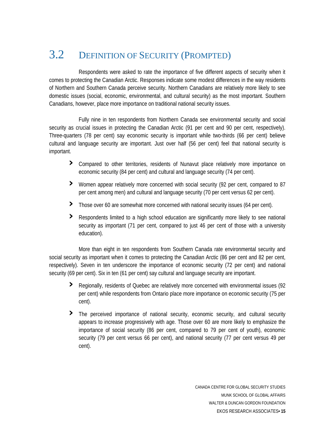## 3.2 DEFINITION OF SECURITY (PROMPTED)

 Respondents were asked to rate the importance of five different aspects of security when it comes to protecting the Canadian Arctic. Responses indicate some modest differences in the way residents of Northern and Southern Canada perceive security. Northern Canadians are relatively more likely to see domestic issues (social, economic, environmental, and cultural security) as the most important. Southern Canadians, however, place more importance on traditional national security issues.

 Fully nine in ten respondents from Northern Canada see environmental security and social security as crucial issues in protecting the Canadian Arctic (91 per cent and 90 per cent, respectively). Three-quarters (78 per cent) say economic security is important while two-thirds (66 per cent) believe cultural and language security are important. Just over half (56 per cent) feel that national security is important.

- **›** Compared to other territories, residents of Nunavut place relatively more importance on economic security (84 per cent) and cultural and language security (74 per cent).
- > Women appear relatively more concerned with social security (92 per cent, compared to 87 per cent among men) and cultural and language security (70 per cent versus 62 per cent).
- **›** Those over 60 are somewhat more concerned with national security issues (64 per cent).
- > Respondents limited to a high school education are significantly more likely to see national security as important (71 per cent, compared to just 46 per cent of those with a university education).

social security as important when it comes to protecting the Canadian Arctic (86 per cent and 82 per cent, respectively). Seven in ten underscore the importance of economic security (72 per cent) and national security (69 p er cent). Six in ten (61 per cent) say cultural and language security are important. More than eight in ten respondents from Southern Canada rate environmental security and

- **›** Regionally, residents of Quebec are relatively more concerned with environmental issues (92 per cent) while respondents from Ontario place more importance on economic security (75 per cent).
- **›** The perceived importance of national security, economic security, and cultural security appears to increase progressively with age. Those over 60 are more likely to emphasize the importance of social security (86 per cent, compared to 79 per cent of youth), economic security (79 per cent versus 66 per cent), and national security (77 per cent versus 49 per cent).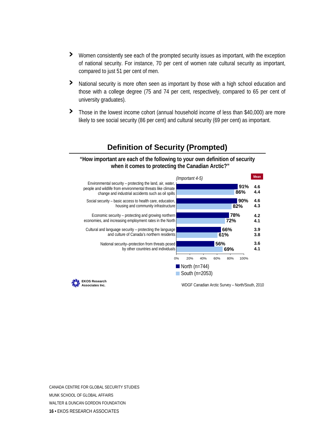- **›** Women consistently see each of the prompted security issues as important, with the exception of national security. For instance, 70 per cent of women rate cultural security as important, compared to just 51 per cent of men.
- > National security is more often seen as important by those with a high school education and those with a college degree (75 and 74 per cent, respectively, compared to 65 per cent of university graduates).
- > Those in the lowest income cohort (annual household income of less than \$40,000) are more likely to see social security (86 per cent) and cultural security (69 per cent) as important.



#### **Definition of Security (Prompted)**

**"How important are each of the following to your own definition of security when it comes to protecting the Canadian Arctic?"**

**EKOS Research**

**Associates Inc.** WDGF Canadian Arctic Survey – North/South, 2010

CANADA CENTRE FOR GLOBAL SECURITY STUDIES MUNK SCHOOL OF GLOBAL AFFAIRS WALTER & DUNCAN GORDON FOUNDATION **16 •** EKOS RESEARCH ASSOCIATES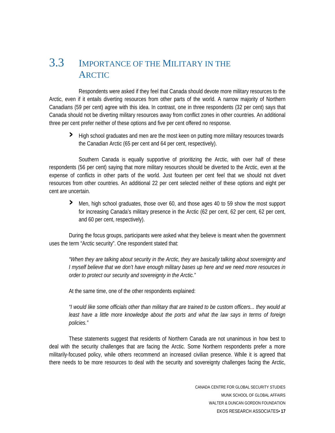## 3.3 IMPORTANCE OF THE MILITARY IN THE ARCTIC

 Respondents were asked if they feel that Canada should devote more military resources to the Arctic, even if it entails diverting resources from other parts of the world. A narrow majority of Northern Canadians (59 per cent) agree with this idea. In contrast, one in three respondents (32 per cent) says that Canada should not be diverting military resources away from conflict zones in other countries. An additional three per cent prefer neither of these options and five per cent offered no response.

**›** High school graduates and men are the most keen on putting more military resources towards the Canadian Arctic (65 per cent and 64 per cent, respectively).

 Southern Canada is equally supportive of prioritizing the Arctic, with over half of these respondents (56 per cent) saying that more military resources should be diverted to the Arctic, even at the expense of conflicts in other parts of the world. Just fourteen per cent feel that we should not divert resources from other countries. An additional 22 per cent selected neither of these options and eight per cent are uncertain.

**›** Men, high school graduates, those over 60, and those ages 40 to 59 show the most support for increasing Canada's military presence in the Arctic (62 per cent, 62 per cent, 62 per cent, and 60 per cent, respectively).

During the focus groups, participants were asked what they believe is meant when the government uses the term "Arctic security". One respondent stated that:

I myself believe that we don't have enough military bases up here and we need more resources in *rder to protect our security and sovereignty in the Arctic." o "When they are talking about security in the Arctic, they are basically talking about sovereignty and* 

At the same time, one of the other respondents explained:

least have a little more knowledge about the ports and what the law says in terms of foreign *policies." "I would like some officials other than military that are trained to be custom officers... they would at* 

there needs to be more resources to deal with the security and sovereignty challenges facing the Arctic, These statements suggest that residents of Northern Canada are not unanimous in how best to deal with the security challenges that are facing the Arctic. Some Northern respondents prefer a more militarily-focused policy, while others recommend an increased civilian presence. While it is agreed that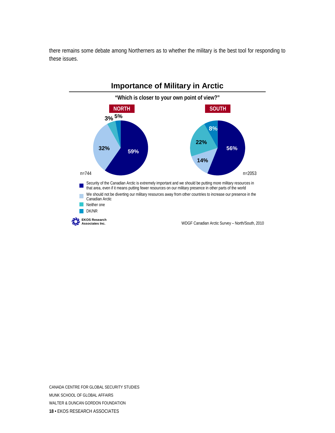there remains some debate among Northerners as to whether the military is the best tool for responding to these issues.



CANADA CENTRE FOR GLOBAL SECURITY STUDIES MUNK SCHOOL OF GLOBAL AFFAIRS WALTER & DUNCAN GORDON FOUNDATION **18 •** EKOS RESEARCH ASSOCIATES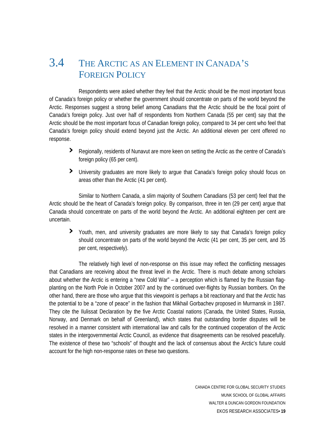## 3.4 THE ARCTIC AS AN ELEMENT IN CANADA'S FOREIGN POLICY

 Respondents were asked whether they feel that the Arctic should be the most important focus of Canada's foreign policy or whether the government should concentrate on parts of the world beyond the Arctic. Responses suggest a strong belief among Canadians that the Arctic should be the focal point of Canada's foreign policy. Just over half of respondents from Northern Canada (55 per cent) say that the Arctic should be the most important focus of Canadian foreign policy, compared to 34 per cent who feel that Canada's foreign policy should extend beyond just the Arctic. An additional eleven per cent offered no response.

- **›** Regionally, residents of Nunavut are more keen on setting the Arctic as the centre of Canada's foreign policy (65 per cent).
- > University graduates are more likely to argue that Canada's foreign policy should focus on areas other than the Arctic (41 per cent).

Canada should concentrate on parts of the world beyond the Arctic. An additional eighteen per cent are uncertain . Similar to Northern Canada, a slim majority of Southern Canadians (53 per cent) feel that the Arctic should be the heart of Canada's foreign policy. By comparison, three in ten (29 per cent) argue that

> Youth, men, and university graduates are more likely to say that Canada's foreign policy should concentrate on parts of the world beyond the Arctic (41 per cent, 35 per cent, and 35 per cent, respectively).

states in the intergovernmental Arctic Council, as evidence that disagreements can be resolved peacefully. The existence of these two "schools" of thought and the lack of consensus about the Arctic's future could account for the high non-response rates on these two questions. The relatively high level of non-response on this issue may reflect the conflicting messages that Canadians are receiving about the threat level in the Arctic. There is much debate among scholars about whether the Arctic is entering a "new Cold War" – a perception which is flamed by the Russian flagplanting on the North Pole in October 2007 and by the continued over-flights by Russian bombers. On the other hand, there are those who argue that this viewpoint is perhaps a bit reactionary and that the Arctic has the potential to be a "zone of peace" in the fashion that Mikhail Gorbachev proposed in Murmansk in 1987. They cite the Ilulissat Declaration by the five Arctic Coastal nations (Canada, the United States, Russia, Norway, and Denmark on behalf of Greenland), which states that outstanding border disputes will be resolved in a manner consistent with international law and calls for the continued cooperation of the Arctic

> CANADA CENTRE FOR GLOBAL SECURITY STUDIES MUNK SCHOOL OF GLOBAL AFFAIRS WALTER & DUNCAN GORDON FOUNDATION EKOS RESEARCH ASSOCIATES**• 19**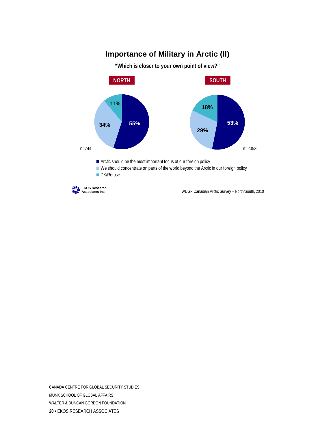

**Importance of Military in Arctic (II)**

CANADA CENTRE FOR GLOBAL SECURITY STUDIES MUNK SCHOOL OF GLOBAL AFFAIRS WALTER & DUNCAN GORDON FOUNDATION **20 •** EKOS RESEARCH ASSOCIATES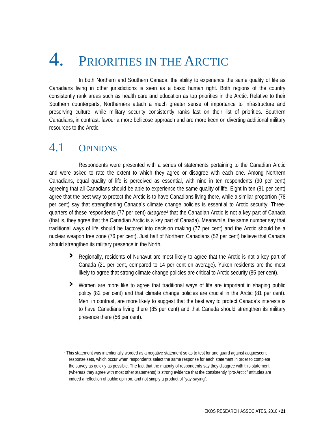# 4. PRIORITIES IN THE ARCTIC

 In both Northern and Southern Canada, the ability to experience the same quality of life as Canadians living in other jurisdictions is seen as a basic human right. Both regions of the country consistently rank areas such as health care and education as top priorities in the Arctic. Relative to their Southern counterparts, Northerners attach a much greater sense of importance to infrastructure and preserving culture, while military security consistently ranks last on their list of priorities. Southern Canadians, in contrast, favour a more bellicose approach and are more keen on diverting additional military resources to the Arctic.

## 4.1 OPINIONS

Respondents were presented with a series of statements pertaining to the Canadian Arctic and were asked to rate the extent to which they agree or disagree with each one. Among Northern Canadians, equal quality of life is perceived as essential, with nine in ten respondents (90 per cent) agreeing that all Canadians should be able to experience the same quality of life. Eight in ten (81 per cent) agree that the best way to protect the Arctic is to have Canadians living there, while a similar proportion (78 per cent) say that strengthening Canada's climate change policies is essential to Arctic security. Threequarters of these respondents (77 per cent) *disagree2*that the Canadian Arctic is not a key part of Canada (that is, they agree that the Canadian Arctic is a key part of Canada). Meanwhile, the same number say that traditional ways of life should be factored into decision making (77 per cent) and the Arctic should be a nuclear weapon free zone (76 per cent). Just half of Northern Canadians (52 per cent) believe that Canada should strengthen its military presence in the North.

- **›** Regionally, residents of Nunavut are most likely to agree that the Arctic is not a key part of Canada (21 per cent, compared to 14 per cent on average). Yukon residents are the most likely to agree that strong climate change policies are critical to Arctic security (85 per cent).
- **›** Women are more like to agree that traditional ways of life are important in shaping public to have Canadians living there (85 per cent) and that Canada should strengthen its military policy (82 per cent) and that climate change policies are crucial in the Arctic (81 per cent). Men, in contrast, are more likely to suggest that the best way to protect Canada's interests is presence there (56 per cent).

<span id="page-46-0"></span><sup>2</sup> This statement was intentionally worded as a negative statement so as to test for and guard against acquiescent response sets, which occur when respondents select the same response for each statement in order to complete the survey as quickly as possible. The fact that the majority of respondents say they disagree with this statement (whereas they agree with most other statements) is strong evidence that the consistently "pro-Arctic" attitudes are indeed a reflection of public opinion, and not simply a product of "yay-saying".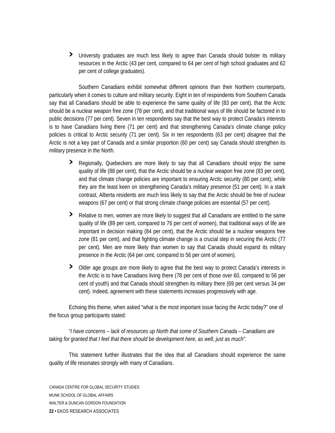**›** University graduates are much less likely to agree than Canada should bolster its military resources in the Arctic (43 per cent, compared to 64 per cent of high school graduates and 62 per cent of college graduates).

policies is critical to Arctic security (71 per cent). Six in ten respondents (63 per cent) *disagree* that the Arctic is not a key part of Canada and a similar proportion (60 per cent) say Canada should strengthen its military presence in the North. Southern Canadians exhibit somewhat different opinions than their Northern counterparts, particularly when it comes to culture and military security. Eight in ten of respondents from Southern Canada say that all Canadians should be able to experience the same quality of life (83 per cent), that the Arctic should be a nuclear weapon free zone (78 per cent), and that traditional ways of life should be factored in to public decisions (77 per cent). Seven in ten respondents say that the best way to protect Canada's interests is to have Canadians living there (71 per cent) and that strengthening Canada's climate change policy

- **›** Regionally, Quebeckers are more likely to say that all Canadians should enjoy the same quality of life (88 per cent), that the Arctic should be a nuclear weapon free zone (83 per cent), and that climate change policies are important to ensuring Arctic security (80 per cent), while they are the least keen on strengthening Canada's military presence (51 per cent). In a stark contrast, Alberta residents are much less likely to say that the Arctic should be free of nuclear weapons (67 per cent) or that strong climate change policies are essential (57 per cent).
- > Relative to men, women are more likely to suggest that all Canadians are entitled to the same per cent). Men are more likely than women to say that Canada should expand its military presence in the Arctic (64 per cent, compared to 56 per cent of women). quality of life (89 per cent, compared to 76 per cent of women), that traditional ways of life are important in decision making (84 per cent), that the Arctic should be a nuclear weapons free zone (81 per cent), and that fighting climate change is a crucial step in securing the Arctic (77
- the Arctic is to have Canadians living there (78 per cent of those over 60, compared to 56 per cent of youth) and that Canada should strengthen its military there (69 per cent versus 34 per **›** Older age groups are more likely to agree that the best way to protect Canada's interests in cent). Indeed, agreement with these statements increases progressively with age.

Echoing this theme, when asked "what is the most important issue facing the Arctic today?" one of the focus group participants stated:

"*I have concerns – lack of resources up North that some of Southern Canada – Canadians are taking for granted that I feel that there should be development here, as well, just as much".*

This statement further illustrates that the idea that all Canadians should experience the same quality of life resonates strongly with many of Canadians.

CANADA CENTRE FOR GLOBAL SECURITY STUDIES MUNK SCHOOL OF GLOBAL AFFAIRS WALTER & DUNCAN GORDON FOUNDATION **22 •** EKOS RESEARCH ASSOCIATES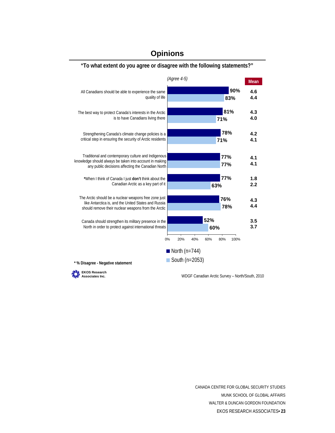

#### **Opinions**

CANADA CENTRE FOR GLOBAL SECURITY STUDIES MUNK SCHOOL OF GLOBAL AFFAIRS WALTER & DUNCAN GORDON FOUNDATION EKOS RESEARCH ASSOCIATES**• 23**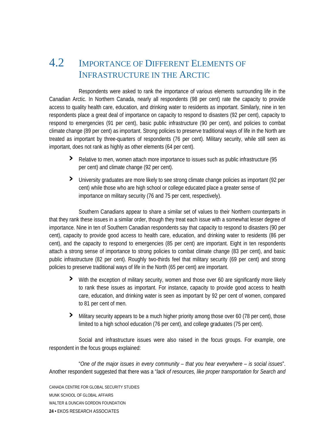## 4.2 IMPORTANCE OF DIFFERENT ELEMENTS OF INFRASTRUCTURE IN THE ARCTIC

 Respondents were asked to rank the importance of various elements surrounding life in the Canadian Arctic. In Northern Canada, nearly all respondents (98 per cent) rate the capacity to provide access to quality health care, education, and drinking water to residents as important. Similarly, nine in ten respondents place a great deal of importance on capacity to respond to disasters (92 per cent), capacity to respond to emergencies (91 per cent), basic public infrastructure (90 per cent), and policies to combat climate change (89 per cent) as important. Strong policies to preserve traditional ways of life in the North are treated as important by three-quarters of respondents (76 per cent). Military security, while still seen as important, does not rank as highly as other elements (64 per cent).

- **›** Relative to men, women attach more importance to issues such as public infrastructure (95 per cent) and climate change (92 per cent).
- > University graduates are more likely to see strong climate change policies as important (92 per cent) while those who are high school or college educated place a greater sense of importance on military security (76 and 75 per cent, respectively).

public infrastructure (82 per cent). Roughly two-thirds feel that military security (69 per cent) and strong policies to preserve traditional ways of life in the North (65 per cent) are important. Southern Canadians appear to share a similar set of values to their Northern counterparts in that they rank these issues in a similar order, though they treat each issue with a somewhat lesser degree of importance. Nine in ten of Southern Canadian respondents say that capacity to respond to disasters (90 per cent), capacity to provide good access to health care, education, and drinking water to residents (86 per cent), and the capacity to respond to emergencies (85 per cent) are important. Eight in ten respondents attach a strong sense of importance to strong policies to combat climate change (83 per cent), and basic

- **›** With the exception of military security, women and those over 60 are significantly more likely to rank these issues as important. For instance, capacity to provide good access to health care, education, and drinking water is seen as important by 92 per cent of women, compared to 81 per cent of men.
- **›** Military security appears to be a much higher priority among those over 60 (78 per cent), those limited to a high school education (76 per cent), and college graduates (75 per cent).

Social and infrastructure issues were also raised in the focus groups. For example, one respondent in the focus groups explained:

Another respondent suggested that there was a "*lack of resources, like proper transportation for Search and* "*One of the major issues in every community – that you hear everywhere – is social issues*".

CANADA CENTRE FOR GLOBAL SECURITY STUDIES MUNK SCHOOL OF GLOBAL AFFAIRS WALTER & DUNCAN GORDON FOUNDATION **24 •** EKOS RESEARCH ASSOCIATES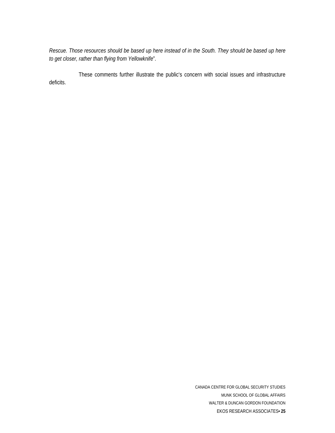Rescue. Those resources should be based up here instead of in the South. They should be based up here *to get closer, rather than flying from Yellowknife*".

 These comments further illustrate the public's concern with social issues and infrastructure deficits.

> CANADA CENTRE FOR GLOBAL SECURITY STUDIES MUNK SCHOOL OF GLOBAL AFFAIRS WALTER & DUNCAN GORDON FOUNDATION EKOS RESEARCH ASSOCIATES**• 25**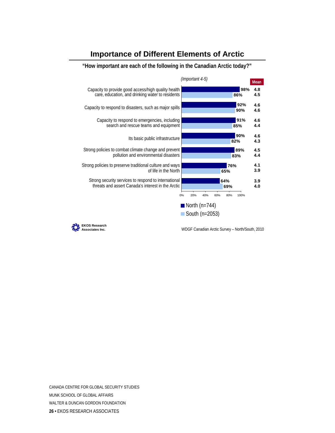#### **Importance of Different Elements of Arctic**



**"How important are each of the following in the Canadian Arctic today?"**



**Associates Inc.** WDGF Canadian Arctic Survey – North/South, 2010

CANADA CENTRE FOR GLOBAL SECURITY STUDIES MUNK SCHOOL OF GLOBAL AFFAIRS WALTER & DUNCAN GORDON FOUNDATION **26 •** EKOS RESEARCH ASSOCIATES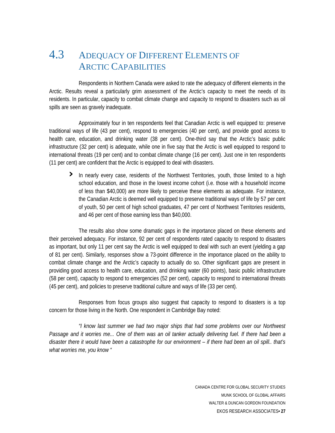## 4.3 ADEQUACY OF DIFFERENT ELEMENTS OF ARCTIC CAPABILITIES

 Respondents in Northern Canada were asked to rate the adequacy of different elements in the Arctic. Results reveal a particularly grim assessment of the Arctic's capacity to meet the needs of its residents. In particular, capacity to combat climate change and capacity to respond to disasters such as oil spills are seen as gravely inadequate.

 Approximately four in ten respondents feel that Canadian Arctic is well equipped to: preserve traditional ways of life (43 per cent), respond to emergencies (40 per cent), and provide good access to health care, education, and drinking water (38 per cent). One-third say that the Arctic's basic public infrastructure (32 per cent) is adequate, while one in five say that the Arctic is well equipped to respond to international threats (19 per cent) and to combat climate change (16 per cent). Just one in ten respondents (11 per cent) are confident that the Arctic is equipped to deal with disasters.

**›** In nearly every case, residents of the Northwest Territories, youth, those limited to a high school education, and those in the lowest income cohort (i.e. those with a household income of less than \$40,000) are more likely to perceive these elements as adequate. For instance, the Canadian Arctic is deemed well equipped to preserve traditional ways of life by 57 per cent of youth, 50 per cent of high school graduates, 47 per cent of Northwest Territories residents, and 46 per cent of those earning less than \$40,000.

 The results also show some dramatic gaps in the importance placed on these elements and their perceived adequacy. For instance, 92 per cent of respondents rated capacity to respond to disasters as important, but only 11 per cent say the Arctic is well equipped to deal with such an event (yielding a gap of 81 per cent). Similarly, responses show a 73-point difference in the importance placed on the ability to combat climate change and the Arctic's capacity to actually do so. Other significant gaps are present in providing good access to health care, education, and drinking water (60 points), basic public infrastructure (58 per cent), capacity to respond to emergencies (52 per cent), capacity to respond to international threats (45 per cent), and policies to preserve traditional culture and ways of life (33 per cent).

 Responses from focus groups also suggest that capacity to respond to disasters is a top concern for those living in the North. One respondent in Cambridge Bay noted:

*"I know last summer we had two major ships that had some problems over our Northwest Passage and it worries me... One of them was an oil tanker actually delivering fuel. If there had been a disaster there it would have been a catastrophe for our environment – if there had been an oil spill.. that's what worries me, you know "*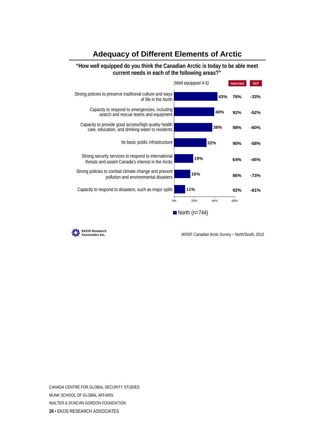#### **Adequacy of Different Elements of Arctic**

#### **"How well equipped do you think the Canadian Arctic is today to be able meet current needs in each of the following areas?"**





**Associates Inc.** WDGF Canadian Arctic Survey – North/South, 2010

CANADA CENTRE FOR GLOBAL SECURITY STUDIES MUNK SCHOOL OF GLOBAL AFFAIRS WALTER & DUNCAN GORDON FOUNDATION **28 •** EKOS RESEARCH ASSOCIATES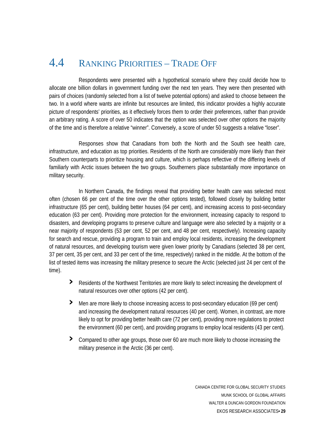## 4.4 RANKING PRIORITIES – TRADE OFF

 Respondents were presented with a hypothetical scenario where they could decide how to allocate one billion dollars in government funding over the next ten years. They were then presented with pairs of choices (randomly selected from a list of twelve potential options) and asked to choose between the two. In a world where wants are infinite but resources are limited, this indicator provides a highly accurate picture of respondents' priorities, as it effectively forces them to order their preferences, rather than provide an arbitrary rating. A score of over 50 indicates that the option was selected over other options the majority of the time and is therefore a relative "winner". Conversely, a score of under 50 suggests a relative "loser".

 Responses show that Canadians from both the North and the South see health care, infrastructure, and education as top priorities. Residents of the North are considerably more likely than their Southern counterparts to prioritize housing and culture, which is perhaps reflective of the differing levels of familiarly with Arctic issues between the two groups. Southerners place substantially more importance on military security.

 In Northern Canada, the findings reveal that providing better health care was selected most often (chosen 66 per cent of the time over the other options tested), followed closely by building better infrastructure (65 per cent), building better houses (64 per cent), and increasing access to post-secondary education (63 per cent). Providing more protection for the environment, increasing capacity to respond to disasters, and developing programs to preserve culture and language were also selected by a majority or a near majority of respondents (53 per cent, 52 per cent, and 48 per cent, respectively). Increasing capacity for search and rescue, providing a program to train and employ local residents, increasing the development of natural resources, and developing tourism were given lower priority by Canadians (selected 38 per cent, 37 per cent, 35 per cent, and 33 per cent of the time, respectively) ranked in the middle. At the bottom of the list of tested items was increasing the military presence to secure the Arctic (selected just 24 per cent of the time).

- **›** Residents of the Northwest Territories are more likely to select increasing the development of natural resources over other options (42 per cent).
- **›** Men are more likely to choose increasing access to post-secondary education (69 per cent) . the environment (60 per cent), and providing programs to employ local residents (43 per cent) and increasing the development natural resources (40 per cent). Women, in contrast, are more likely to opt for providing better health care (72 per cent), providing more regulations to protect
- **›** Compared to other age groups, those over 60 are much more likely to choose increasing the military presence in the Arctic (36 per cent).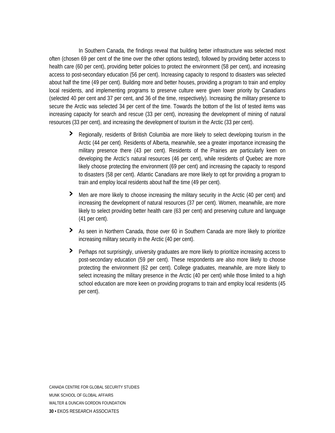secure the Arctic was selected 34 per cent of the time. Towards the bottom of the list of tested items was increasing ca pacity for search and rescue (33 per cent), increasing the development of mining of natural resources (3 3 per cent), and increasing the development of tourism in the Arctic (33 per cent). In Southern Canada, the findings reveal that building better infrastructure was selected most often (chosen 69 per cent of the time over the other options tested), followed by providing better access to health care (60 per cent), providing better policies to protect the environment (58 per cent), and increasing access to post-secondary education (56 per cent). Increasing capacity to respond to disasters was selected about half the time (49 per cent). Building more and better houses, providing a program to train and employ local residents, and implementing programs to preserve culture were given lower priority by Canadians (selected 40 per cent and 37 per cent, and 36 of the time, respectively). Increasing the military presence to

- **›** Regionally, residents of British Columbia are more likely to select developing tourism in the Arctic (44 per cent). Residents of Alberta, meanwhile, see a greater importance increasing the military presence there (43 per cent). Residents of the Prairies are particularly keen on developing the Arctic's natural resources (46 per cent), while residents of Quebec are more likely choose protecting the environment (69 per cent) and increasing the capacity to respond to disasters (58 per cent). Atlantic Canadians are more likely to opt for providing a program to train and employ local residents about half the time (49 per cent).
- > Men are more likely to choose increasing the military security in the Arctic (40 per cent) and likely to select providing better health care (63 per cent) and preserving culture and language increasing the development of natural resources (37 per cent). Women, meanwhile, are more (41 per cent).
- **›** As seen in Northern Canada, those over 60 in Southern Canada are more likely to prioritize increasing military security in the Arctic (40 per cent).
- **›** Perhaps not surprisingly, university graduates are more likely to prioritize increasing access to post-secondary education (59 per cent). These respondents are also more likely to choose protecting the environment (62 per cent). College graduates, meanwhile, are more likely to select increasing the military presence in the Arctic (40 per cent) while those limited to a high school education are more keen on providing programs to train and employ local residents (45 per cent).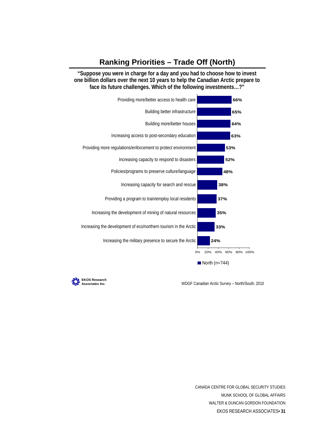#### **Ranking Priorities – Trade Off (North)**

**"Suppose you were in charge for a day and you had to choose how to invest one billion dollars over the next 10 years to help the Canadian Arctic prepare to face its future challenges. Which of the following investments…?"**



**Associates Inc.** WDGF Canadian Arctic Survey – North/South, 2010



CANADA CENTRE FOR GLOBAL SECURITY STUDIES MUNK SCHOOL OF GLOBAL AFFAIRS WALTER & DUNCAN GORDON FOUNDATION EKOS RESEARCH ASSOCIATES**• 31**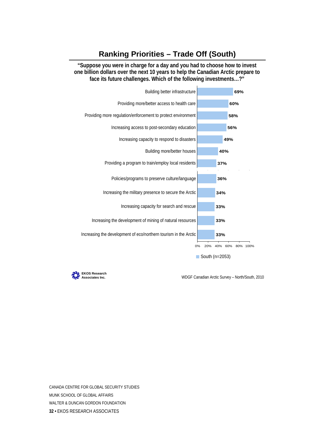#### **Ranking Priorities – Trade Off (South)**

**"Suppose you were in charge for a day and you had to choose how to invest one billion dollars over the next 10 years to help the Canadian Arctic prepare to face its future challenges. Which of the following investments…?"**





**Associates Inc.** WDGF Canadian Arctic Survey – North/South, 2010

CANADA CENTRE FOR GLOBAL SECURITY STUDIES MUNK SCHOOL OF GLOBAL AFFAIRS WALTER & DUNCAN GORDON FOUNDATION **32 •** EKOS RESEARCH ASSOCIATES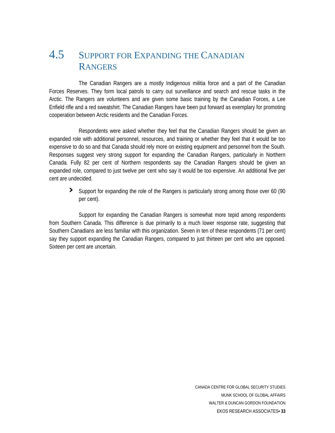## 4.5 SUPPORT FOR EXPANDING THE CANADIAN **RANGERS**

 The Canadian Rangers are a mostly Indigenous militia force and a part of the Canadian Forces Reserves. They form local patrols to carry out surveillance and search and rescue tasks in the Arctic. The Rangers are volunteers and are given some basic training by the Canadian Forces, a Lee Enfield rifle and a red sweatshirt. The Canadian Rangers have been put forward as exemplary for promoting cooperation between Arctic residents and the Canadian Forces.

 Respondents were asked whether they feel that the Canadian Rangers should be given an expanded role with additional personnel, resources, and training or whether they feel that it would be too expensive to do so and that Canada should rely more on existing equipment and personnel from the South. Responses suggest very strong support for expanding the Canadian Rangers, particularly in Northern Canada. Fully 82 per cent of Northern respondents say the Canadian Rangers should be given an expanded role, compared to just twelve per cent who say it would be too expensive. An additional five per cent are undecided.

**›** Support for expanding the role of the Rangers is particularly strong among those over 60 (90 per cent).

 Support for expanding the Canadian Rangers is somewhat more tepid among respondents from Southern Canada. This difference is due primarily to a much lower response rate, suggesting that Southern Canadians are less familiar with this organization. Seven in ten of these respondents (71 per cent) say they support expanding the Canadian Rangers, compared to just thirteen per cent who are opposed. Sixteen per cent are uncertain.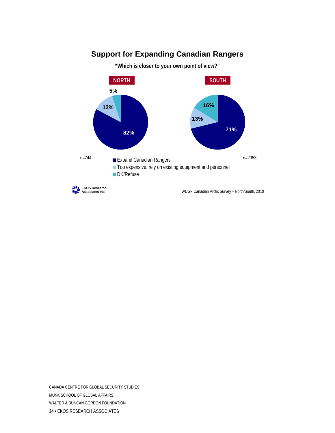

**Support for Expanding Canadian Rangers** 

CANADA CENTRE FOR GLOBAL SECURITY STUDIES MUNK SCHOOL OF GLOBAL AFFAIRS WALTER & DUNCAN GORDON FOUNDATION **34 •** EKOS RESEARCH ASSOCIATES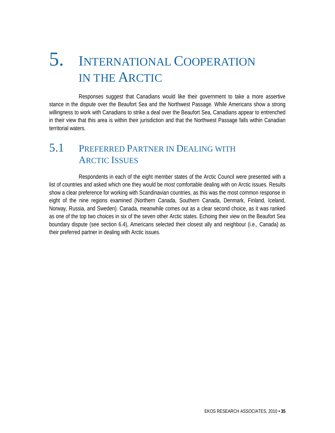# 5. INTERNATIONAL COOPERATION IN THE ARCTIC

 Responses suggest that Canadians would like their government to take a more assertive stance in the dispute over the Beaufort Sea and the Northwest Passage. While Americans show a strong willingness to work with Canadians to strike a deal over the Beaufort Sea, Canadians appear to entrenched in their view that this area is within their jurisdiction and that the Northwest Passage falls within Canadian territorial waters.

## 5.1 PREFERRED PARTNER IN DEALING WITH ARCTIC ISSUES

 Respondents in each of the eight member states of the Arctic Council were presented with a list of countries and asked which one they would be *most* comfortable dealing with on Arctic issues. Results show a clear preference for working with Scandinavian countries, as this was the most common response in eight of the nine regions examined (Northern Canada, Southern Canada, Denmark, Finland, Iceland, Norway, Russia, and Sweden). Canada, meanwhile comes out as a clear second choice, as it was ranked as one of the top two choices in six of the seven other Arctic states. Echoing their view on the Beaufort Sea boundary dispute (see section 6.4), Americans selected their closest ally and neighbour (i.e., Canada) as their preferred partner in dealing with Arctic issues.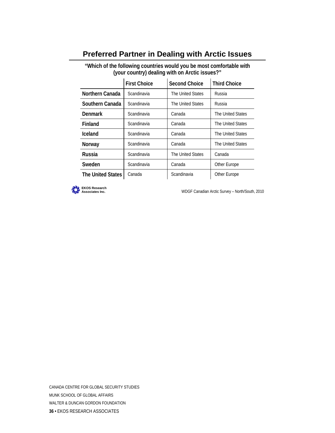| (your country) dealing with on Arctic issues?" |                     |                      |                     |
|------------------------------------------------|---------------------|----------------------|---------------------|
|                                                | <b>First Choice</b> | <b>Second Choice</b> | <b>Third Choice</b> |
| Northern Canada                                | Scandinavia         | The United States    | Russia              |
| Southern Canada                                | Scandinavia         | The United States    | Russia              |
| <b>Denmark</b>                                 | Scandinavia         | Canada               | The United States   |
| Finland                                        | Scandinavia         | Canada               | The United States   |
| Iceland                                        | Scandinavia         | Canada               | The United States   |
| Norway                                         | Scandinavia         | Canada               | The United States   |
| <b>Russia</b>                                  | Scandinavia         | The United States    | Canada              |
| Sweden                                         | Scandinavia         | Canada               | Other Europe        |
| <b>The United States</b>                       | Canada              | Scandinavia          | Other Europe        |

#### **Preferred Partner in Dealing with Arctic Issues**

**"Which of the following countries would you be most comfortable with**

**EKOS Research**

**Associates Inc.** WDGF Canadian Arctic Survey – North/South, 2010

CANADA CENTRE FOR GLOBAL SECURITY STUDIES MUNK SCHOOL OF GLOBAL AFFAIRS WALTER & DUNCAN GORDON FOUNDATION **36 •** EKOS RESEARCH ASSOCIATES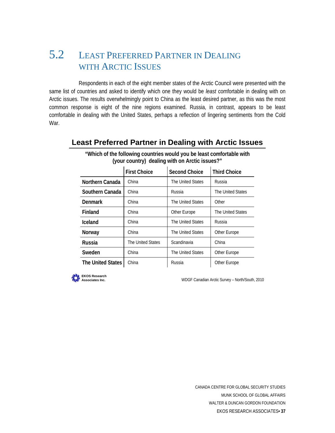## 5.2 LEAST PREFERRED PARTNER IN DEALING WITH ARCTIC ISSUES

Respondents in each of the eight member states of the Arctic Council were presented with the same list of countries and asked to identify which one they would be *least* comfortable in dealing with on Arctic issues. The results overwhelmingly point to China as the least desired partner, as this was the most common response is eight of the nine regions examined. Russia, in contrast, appears to be least comfortable in dealing with the United States, perhaps a reflection of lingering sentiments from the Cold War.

### **"Which of the following countries would you be least comfortable with (your country) dealing with on Arctic issues?" The United States** | China | Russia | Other Europe **Sweden** | China | The United States | Other Europe **Russia** The United States Scandinavia China **Norway China** The United States Other Europe **Iceland** China **The United States** Russia **Finland China China China China Prope** The United States **Denmark** | China | The United States | Other **Southern Canada** China **Russia** Russia Reference Reference States **Northern Canada** China **The United States** Russia **First Choice Second Choice Third Choice**

#### **Least Preferred Partner in Dealing with Arctic Issues**



**Associates Inc.** WDGF Canadian Arctic Survey – North/South, 2010

CANADA CENTRE FOR GLOBAL SECURITY STUDIES MUNK SCHOOL OF GLOBAL AFFAIRS WALTER & DUNCAN GORDON FOUNDATION EKOS RESEARCH ASSOCIATES**• 37**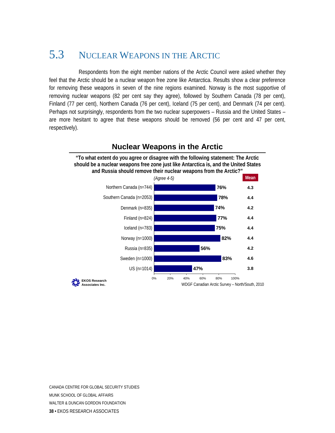## 5.3 NUCLEAR WEAPONS IN THE ARCTIC

Respondents from the eight member nations of the Arctic Council were asked whether they feel that the Arctic should be a nuclear weapon free zone like Antarctica. Results show a clear preference for removing these weapons in seven of the nine regions examined. Norway is the most supportive of removing nuclear weapons (82 per cent say they agree), followed by Southern Canada (78 per cent), Finland (77 per cent), Northern Canada (76 per cent), Iceland (75 per cent), and Denmark (74 per cent). Perhaps not surprisingly, respondents from the two nuclear superpowers – Russia and the United States – are more hesitant to agree that these weapons should be removed (56 per cent and 47 per cent, respectively).



### **Nuclear Weapons in the Arctic**

CANADA CENTRE FOR GLOBAL SECURITY STUDIES MUNK SCHOOL OF GLOBAL AFFAIRS WALTER & DUNCAN GORDON FOUNDATION **38 •** EKOS RESEARCH ASSOCIATES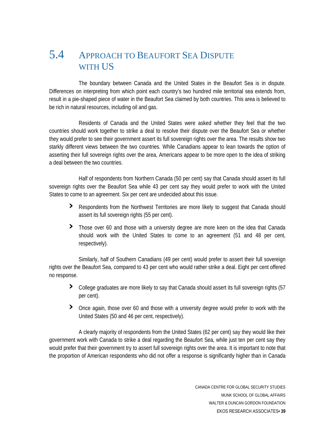## 5.4 APPROACH TO BEAUFORT SEA DISPUTE WITH US

 The boundary between Canada and the United States in the Beaufort Sea is in dispute. Differences on interpreting from which point each country's two hundred mile territorial sea extends from, result in a pie-shaped piece of water in the Beaufort Sea claimed by both countries. This area is believed to be rich in natural resources, including oil and gas.

 Residents of Canada and the United States were asked whether they feel that the two countries should work together to strike a deal to resolve their dispute over the Beaufort Sea or whether they would prefer to see their government assert its full sovereign rights over the area. The results show two starkly different views between the two countries. While Canadians appear to lean towards the option of asserting their full sovereign rights over the area, Americans appear to be more open to the idea of striking a deal between the two countries.

 Half of respondents from Northern Canada (50 per cent) say that Canada should assert its full sovereign rights over the Beaufort Sea while 43 per cent say they would prefer to work with the United States to come to an agreement. Six per cent are undecided about this issue.

- **›** Respondents from the Northwest Territories are more likely to suggest that Canada should assert its full sovereign rights (55 per cent).
- **›** Those over 60 and those with a university degree are more keen on the idea that Canada should work with the United States to come to an agreement (51 and 48 per cent, respectively).

rights over the Beaufort Sea, compared to 43 per cent who would rather strike a deal. Eight per cent offered no response. Similarly, half of Southern Canadians (49 per cent) would prefer to assert their full sovereign

- **›** College graduates are more likely to say that Canada should assert its full sovereign rights (57 per cent).
- **›** Once again, those over 60 and those with a university degree would prefer to work with the United States (50 and 46 per cent, respectively).

the proportion of American respondents who did not offer a response is significantly higher than in Canada A clearly majority of respondents from the United States (62 per cent) say they would like their government work with Canada to strike a deal regarding the Beaufort Sea, while just ten per cent say they would prefer that their government try to assert full sovereign rights over the area. It is important to note that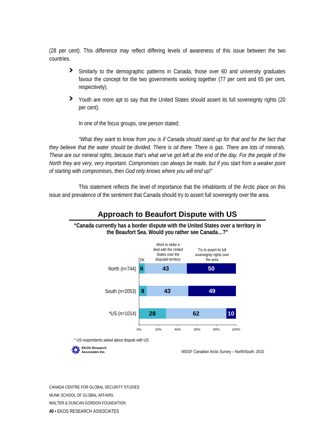(28 per cent). This difference may reflect differing levels of awareness of this issue between the two countries.

- respectively). **›** Similarly to the demographic patterns in Canada, those over 60 and university graduates favour the concept for the two governments working together (77 per cent and 65 per cent,
- > Youth are more apt to say that the United States should assert its full sovereignty rights (20 per cent).

In one of the focus groups, one person stated:

*s. There are lots of minerals. they believe that the water should be divided. There is oil there. There is ga hese are our mineral rights, because that's what we've got left at the end of the day. For the people of the T North they are very, very important. Compromises can always be made, but if you start from a weaker point "What they want to know from you is if Canada should stand up for that and for the fact that of starting with compromises, then God only knows where you will end up!"* 

This statement reflects the level of importance that the inhabitants of the Arctic place on this issue and prevalence of the sentiment that Canada should try to assert full sovereignty over the area.



#### **Approach to Beaufort Dispute with US**

#### **"Canada currently has a border dispute with the United States over a territory in the Beaufort Sea. Would you rather see Canada…?"**

\* US respondents asked about dispute with US



**Associates Inc.** WDGF Canadian Arctic Survey – North/South, 2010

CANADA CENTRE FOR GLOBAL SECURITY STUDIES MUNK SCHOOL OF GLOBAL AFFAIRS WALTER & DUNCAN GORDON FOUNDATION **40 •** EKOS RESEARCH ASSOCIATES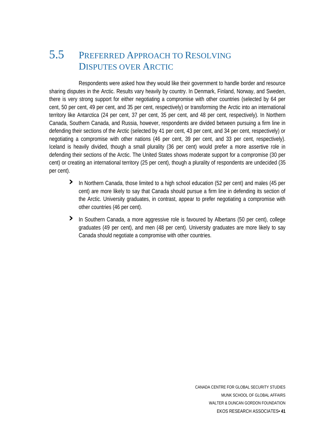## 5.5 PREFERRED APPROACH TO RESOLVING DISPUTES OVER ARCTIC

 Respondents were asked how they would like their government to handle border and resource sharing disputes in the Arctic. Results vary heavily by country. In Denmark, Finland, Norway, and Sweden, there is very strong support for either negotiating a compromise with other countries (selected by 64 per cent, 50 per cent, 49 per cent, and 35 per cent, respectively) or transforming the Arctic into an international territory like Antarctica (24 per cent, 37 per cent, 35 per cent, and 48 per cent, respectively). In Northern Canada, Southern Canada, and Russia, however, respondents are divided between pursuing a firm line in defending their sections of the Arctic (selected by 41 per cent, 43 per cent, and 34 per cent, respectively) or negotiating a compromise with other nations (46 per cent, 39 per cent, and 33 per cent, respectively). Iceland is heavily divided, though a small plurality (36 per cent) would prefer a more assertive role in defending their sections of the Arctic. The United States shows moderate support for a compromise (30 per cent) or creating an international territory (25 per cent), though a plurality of respondents are undecided (35 per cent).

- **›** In Northern Canada, those limited to a high school education (52 per cent) and males (45 per cent) are more likely to say that Canada should pursue a firm line in defending its section of the Arctic. University graduates, in contrast, appear to prefer negotiating a compromise with other countries (46 per cent).
- **›** In Southern Canada, a more aggressive role is favoured by Albertans (50 per cent), college graduates (49 per cent), and men (48 per cent). University graduates are more likely to say Canada should negotiate a compromise with other countries.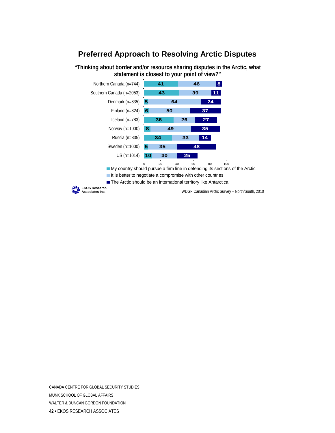#### **Preferred Approach to Resolving Arctic Disputes**

**"Thinking about border and/or resource sharing disputes in the Arctic, what statement is closest to your point of view?"**



CANADA CENTRE FOR GLOBAL SECURITY STUDIES MUNK SCHOOL OF GLOBAL AFFAIRS WALTER & DUNCAN GORDON FOUNDATION **42 •** EKOS RESEARCH ASSOCIATES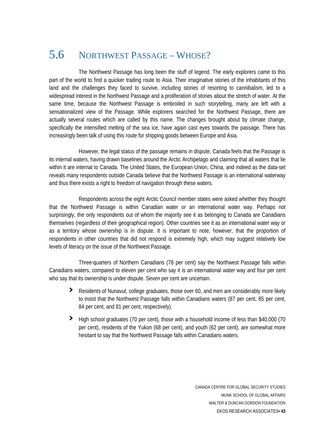## 5.6 NORTHWEST PASSAGE – WHOSE?

 The Northwest Passage has long been the stuff of legend. The early explorers came to this part of the world to find a quicker trading route to Asia. Their imaginative stories of the inhabitants of this land and the challenges they faced to survive, including stories of resorting to cannibalism, led to a widespread interest in the Northwest Passage and a proliferation of stories about the stretch of water. At the same time, because the Northwest Passage is embroiled in such storytelling, many are left with a sensationalized view of the Passage. While explorers searched for the Northwest Passage, there are actually several routes which are called by this name. The changes brought about by climate change, specifically the intensified melting of the sea ice, have again cast eyes towards the passage. There has increasingly been talk of using this route for shipping goods between Europe and Asia.

 However, the legal status of the passage remains in dispute. Canada feels that the Passage is its internal waters, having drawn baselines around the Arctic Archipelago and claiming that all waters that lie within it are internal to Canada. The United States, the European Union, China, and indeed as the data-set reveals many respondents outside Canada believe that the Northwest Passage is an international waterway and thus there exists a right to freedom of navigation through these waters.

 Respondents across the eight Arctic Council member states were asked whether they thought that the Northwest Passage is within Canadian water or an international water way. Perhaps not surprisingly, the only respondents out of whom the majority see it as belonging to Canada are Canadians themselves (regardless of their geographical region). Other countries see it as an international water way or as a territory whose ownership is in dispute. It is important to note, however, that the proportion of respondents in other countries that did not respond is extremely high, which may suggest relatively low levels of literacy on the issue of the Northwest Passage.

 Three-quarters of Northern Canadians (78 per cent) say the Northwest Passage falls within Canadians waters, compared to eleven per cent who say it is an international water way and four per cent who say that its ownership is under dispute. Seven per cent are uncertain.

- **›** Residents of Nunavut, college graduates, those over 60, and men are considerably more likely to insist that the Northwest Passage falls within Canadians waters (87 per cent, 85 per cent, 84 per cent, and 81 per cent, respectively).
- **›** High school graduates (70 per cent), those with a household income of less than \$40,000 (70 per cent), residents of the Yukon (68 per cent), and youth (62 per cent), are somewhat more hesitant to say that the Northwest Passage falls within Canadians waters.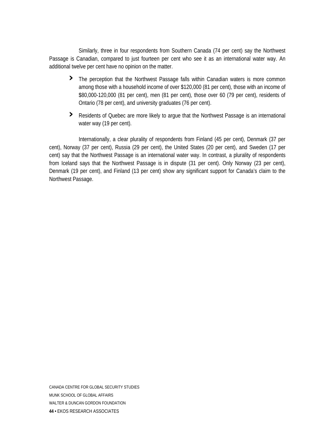Passage is C anadian, compared to just fourteen per cent who see it as an international water way. An additional tw elve per cent have no opinion on the matter. Similarly, three in four respondents from Southern Canada (74 per cent) say the Northwest

- **›** The perception that the Northwest Passage falls within Canadian waters is more common \$80,000-120,000 (81 per cent), men (81 per cent), those over 60 (79 per cent), residents of among those with a household income of over \$120,000 (81 per cent), those with an income of Ontario (78 per cent), and university graduates (76 per cent).
- **›** Residents of Quebec are more likely to argue that the Northwest Passage is an international water way (19 per cent).

cent), Norway (37 per cent), Russia (29 per cent), the United States (20 per cent), and Sweden (17 per cent) say that the Northwest Passage is an international water way. In contrast, a plurality of respondents from Iceland says that the Northwest Passage is in dispute (31 per cent). Only Norway (23 per cent), Denmark (19 per cent), and Finland (13 per cent) show any significant support for Canada's claim to the Northwest Passage. Internationally, a clear plurality of respondents from Finland (45 per cent), Denmark (37 per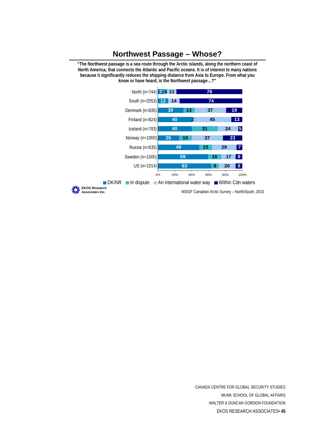#### **Northwest Passage – Whose?**

**"The Northwest passage is a sea route through the Arctic islands, along the northern coast of North America, that connects the Atlantic and Pacific oceans. It is of interest to many nations because it significantly reduces the shipping distance from Asia to Europe. From what you know or have heard, is the Northwest passage…?"**



CANADA CENTRE FOR GLOBAL SECURITY STUDIES MUNK SCHOOL OF GLOBAL AFFAIRS WALTER & DUNCAN GORDON FOUNDATION EKOS RESEARCH ASSOCIATES**• 45**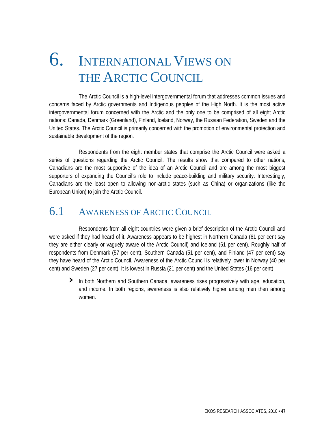## 6. INTERNATIONAL VIEWS ON THE ARCTIC COUNCIL

 The Arctic Council is a high-level intergovernmental forum that addresses common issues and concerns faced by Arctic governments and Indigenous peoples of the High North. It is the most active intergovernmental forum concerned with the Arctic and the only one to be comprised of all eight Arctic nations: Canada, Denmark (Greenland), Finland, Iceland, Norway, the Russian Federation, Sweden and the United States. The Arctic Council is primarily concerned with the promotion of environmental protection and sustainable development of the region.

 Respondents from the eight member states that comprise the Arctic Council were asked a series of questions regarding the Arctic Council. The results show that compared to other nations, Canadians are the most supportive of the idea of an Arctic Council and are among the most biggest supporters of expanding the Council's role to include peace-building and military security. Interestingly, Canadians are the least open to allowing non-arctic states (such as China) or organizations (like the European Union) to join the Arctic Council.

### 6.1 AWARENESS OF ARCTIC COUNCIL

Respondents from all eight countries were given a brief description of the Arctic Council and were asked if they had heard of it. Awareness appears to be highest in Northern Canada (61 per cent say they are either clearly or vaguely aware of the Arctic Council) and Iceland (61 per cent). Roughly half of respondents from Denmark (57 per cent), Southern Canada (51 per cent), and Finland (47 per cent) say they have heard of the Arctic Council. Awareness of the Arctic Council is relatively lower in Norway (40 per cent) and Sweden (27 per cent). It is lowest in Russia (21 per cent) and the United States (16 per cent).

**›** In both Northern and Southern Canada, awareness rises progressively with age, education, and income. In both regions, awareness is also relatively higher among men then among women.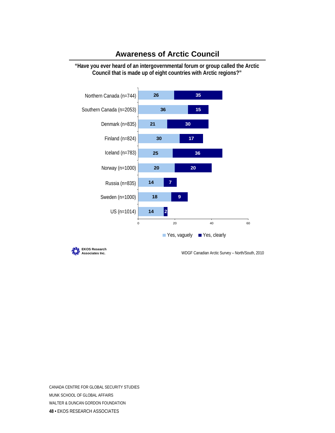

#### **Awareness of Arctic Council**

**"Have you ever heard of an intergovernmental forum or group called the Arctic Council that is made up of eight countries with Arctic regions?"**



**Associates Inc.** WDGF Canadian Arctic Survey – North/South, 2010

CANADA CENTRE FOR GLOBAL SECURITY STUDIES MUNK SCHOOL OF GLOBAL AFFAIRS WALTER & DUNCAN GORDON FOUNDATION **48 •** EKOS RESEARCH ASSOCIATES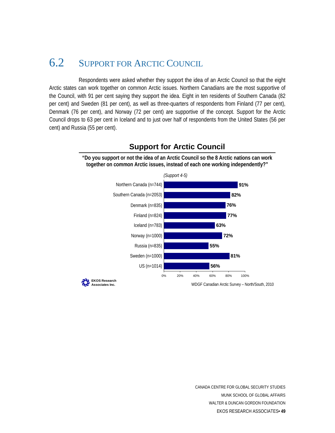## 6.2 SUPPORT FOR ARCTIC COUNCIL

Respondents were asked whether they support the idea of an Arctic Council so that the eight Arctic states can work together on common Arctic issues. Northern Canadians are the most supportive of the Council, with 91 per cent saying they support the idea. Eight in ten residents of Southern Canada (82 per cent) and Sweden (81 per cent), as well as three-quarters of respondents from Finland (77 per cent), Denmark (76 per cent), and Norway (72 per cent) are supportive of the concept. Support for the Arctic Council drops to 63 per cent in Iceland and to just over half of respondents from the United States (56 per cent) and Russia (55 per cent).



**Support for Arctic Council**

**"Do you support or not the idea of an Arctic Council so the 8 Arctic nations can work together on common Arctic issues, instead of each one working independently?"**

> CANADA CENTRE FOR GLOBAL SECURITY STUDIES MUNK SCHOOL OF GLOBAL AFFAIRS WALTER & DUNCAN GORDON FOUNDATION EKOS RESEARCH ASSOCIATES**• 49**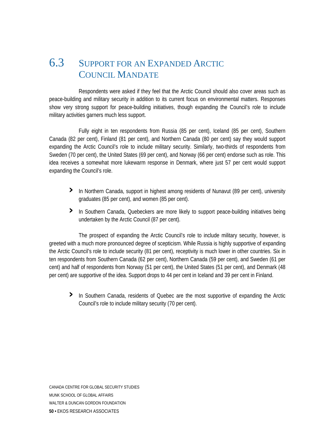### 6.3 SUPPORT FOR AN EXPANDED ARCTIC COUNCIL MANDATE

Respondents were asked if they feel that the Arctic Council should also cover areas such as peace-building and military security in addition to its current focus on environmental matters. Responses show very strong support for peace-building initiatives, though expanding the Council's role to include military activities garners much less support.

Fully eight in ten respondents from Russia (85 per cent), Iceland (85 per cent), Southern Canada (82 per cent), Finland (81 per cent), and Northern Canada (80 per cent) say they would support expanding the Arctic Council's role to include military security. Similarly, two-thirds of respondents from Sweden (70 per cent), the United States (69 per cent), and Norway (66 per cent) endorse such as role. This idea receives a somewhat more lukewarm response in Denmark, where just 57 per cent would support expanding the Council's role.

- **›** In Northern Canada, support in highest among residents of Nunavut (89 per cent), university graduates (85 per cent), and women (85 per cent).
- > In Southern Canada, Quebeckers are more likely to support peace-building initiatives being undertaken by the Arctic Council (87 per cent).

per cent) are supportive of the idea. Support drops to 44 per cent in Iceland and 39 per cent in Finland. The prospect of expanding the Arctic Council's role to include military security, however, is greeted with a much more pronounced degree of scepticism. While Russia is highly supportive of expanding the Arctic Council's role to include security (81 per cent), receptivity is much lower in other countries. Six in ten respondents from Southern Canada (62 per cent), Northern Canada (59 per cent), and Sweden (61 per cent) and half of respondents from Norway (51 per cent), the United States (51 per cent), and Denmark (48

**›** In Southern Canada, residents of Quebec are the most supportive of expanding the Arctic Council's role to include military security (70 per cent).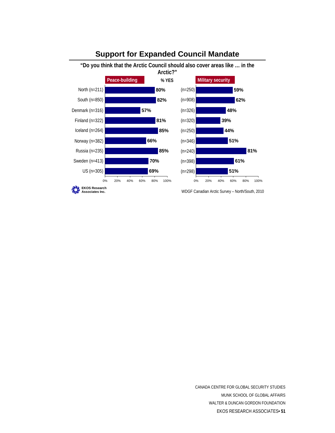

#### **Support for Expanded Council Mandate**

CANADA CENTRE FOR GLOBAL SECURITY STUDIES MUNK SCHOOL OF GLOBAL AFFAIRS WALTER & DUNCAN GORDON FOUNDATION EKOS RESEARCH ASSOCIATES**• 51**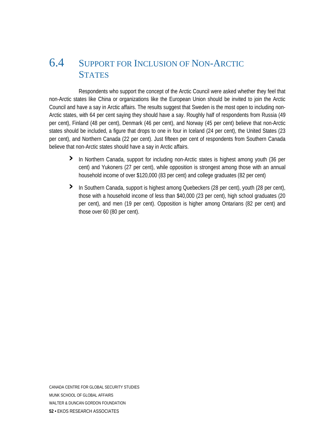## 6.4 SUPPORT FOR INCLUSION OF NON-ARCTIC **STATES**

Respondents who support the concept of the Arctic Council were asked whether they feel that non-Arctic states like China or organizations like the European Union should be invited to join the Arctic Council and have a say in Arctic affairs. The results suggest that Sweden is the most open to including non-Arctic states, with 64 per cent saying they should have a say. Roughly half of respondents from Russia (49 per cent), Finland (48 per cent), Denmark (46 per cent), and Norway (45 per cent) believe that non-Arctic states should be included, a figure that drops to one in four in Iceland (24 per cent), the United States (23 per cent), and Northern Canada (22 per cent). Just fifteen per cent of respondents from Southern Canada believe that non-Arctic states should have a say in Arctic affairs.

- **›** In Northern Canada, support for including non-Arctic states is highest among youth (36 per cent) and Yukoners (27 per cent), while opposition is strongest among those with an annual household income of over \$120,000 (83 per cent) and college graduates (82 per cent)
- **›** In Southern Canada, support is highest among Quebeckers (28 per cent), youth (28 per cent), per cent), and men (19 per cent). Opposition is higher among Ontarians (82 per cent) and those over 60 (80 per cent). those with a household income of less than \$40,000 (23 per cent), high school graduates (20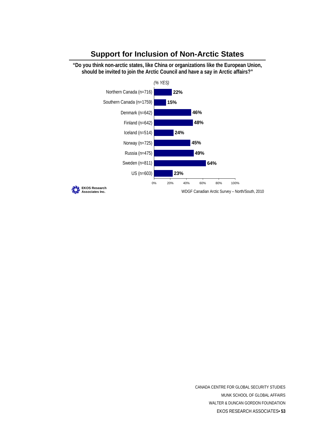

#### **Support for Inclusion of Non-Arctic States**

**"Do you think non-arctic states, like China or organizations like the European Union,**

CANADA CENTRE FOR GLOBAL SECURITY STUDIES MUNK SCHOOL OF GLOBAL AFFAIRS WALTER & DUNCAN GORDON FOUNDATION EKOS RESEARCH ASSOCIATES**• 53**